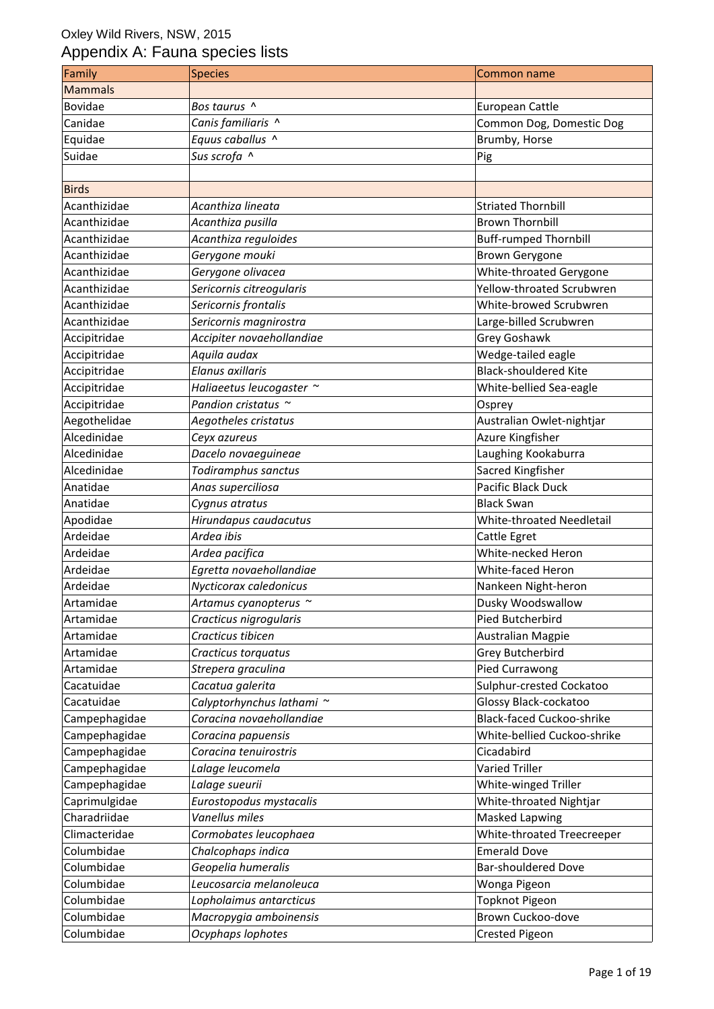| Family         | <b>Species</b>             | <b>Common name</b>           |
|----------------|----------------------------|------------------------------|
| <b>Mammals</b> |                            |                              |
| Bovidae        | Bos taurus ^               | European Cattle              |
| Canidae        | Canis familiaris ^         | Common Dog, Domestic Dog     |
| Equidae        | Equus caballus ^           | Brumby, Horse                |
| Suidae         | Sus scrofa ^               | Pig                          |
|                |                            |                              |
| <b>Birds</b>   |                            |                              |
| Acanthizidae   | Acanthiza lineata          | <b>Striated Thornbill</b>    |
| Acanthizidae   | Acanthiza pusilla          | <b>Brown Thornbill</b>       |
| Acanthizidae   | Acanthiza reguloides       | <b>Buff-rumped Thornbill</b> |
| Acanthizidae   | Gerygone mouki             | <b>Brown Gerygone</b>        |
| Acanthizidae   |                            |                              |
|                | Gerygone olivacea          | White-throated Gerygone      |
| Acanthizidae   | Sericornis citreogularis   | Yellow-throated Scrubwren    |
| Acanthizidae   | Sericornis frontalis       | White-browed Scrubwren       |
| Acanthizidae   | Sericornis magnirostra     | Large-billed Scrubwren       |
| Accipitridae   | Accipiter novaehollandiae  | Grey Goshawk                 |
| Accipitridae   | Aquila audax               | Wedge-tailed eagle           |
| Accipitridae   | Elanus axillaris           | <b>Black-shouldered Kite</b> |
| Accipitridae   | Haliaeetus leucogaster ~   | White-bellied Sea-eagle      |
| Accipitridae   | Pandion cristatus $\sim$   | Osprey                       |
| Aegothelidae   | Aegotheles cristatus       | Australian Owlet-nightjar    |
| Alcedinidae    | Ceyx azureus               | Azure Kingfisher             |
| Alcedinidae    | Dacelo novaeguineae        | Laughing Kookaburra          |
| Alcedinidae    | Todiramphus sanctus        | Sacred Kingfisher            |
| Anatidae       | Anas superciliosa          | Pacific Black Duck           |
| Anatidae       | Cygnus atratus             | <b>Black Swan</b>            |
| Apodidae       | Hirundapus caudacutus      | White-throated Needletail    |
| Ardeidae       | Ardea ibis                 | Cattle Egret                 |
| Ardeidae       | Ardea pacifica             | White-necked Heron           |
| Ardeidae       | Egretta novaehollandiae    | White-faced Heron            |
| Ardeidae       | Nycticorax caledonicus     | Nankeen Night-heron          |
| Artamidae      | Artamus cyanopterus $\sim$ | Dusky Woodswallow            |
| Artamidae      | Cracticus nigrogularis     | Pied Butcherbird             |
| Artamidae      | Cracticus tibicen          | Australian Magpie            |
| Artamidae      | Cracticus torquatus        | Grey Butcherbird             |
| Artamidae      | Strepera graculina         | Pied Currawong               |
| Cacatuidae     | Cacatua galerita           | Sulphur-crested Cockatoo     |
| Cacatuidae     | Calyptorhynchus lathami ~  |                              |
|                |                            | Glossy Black-cockatoo        |
| Campephagidae  | Coracina novaehollandiae   | Black-faced Cuckoo-shrike    |
| Campephagidae  | Coracina papuensis         | White-bellied Cuckoo-shrike  |
| Campephagidae  | Coracina tenuirostris      | Cicadabird                   |
| Campephagidae  | Lalage leucomela           | <b>Varied Triller</b>        |
| Campephagidae  | Lalage sueurii             | White-winged Triller         |
| Caprimulgidae  | Eurostopodus mystacalis    | White-throated Nightjar      |
| Charadriidae   | Vanellus miles             | <b>Masked Lapwing</b>        |
| Climacteridae  | Cormobates leucophaea      | White-throated Treecreeper   |
| Columbidae     | Chalcophaps indica         | <b>Emerald Dove</b>          |
| Columbidae     | Geopelia humeralis         | <b>Bar-shouldered Dove</b>   |
| Columbidae     | Leucosarcia melanoleuca    | Wonga Pigeon                 |
| Columbidae     | Lopholaimus antarcticus    | <b>Topknot Pigeon</b>        |
| Columbidae     | Macropygia amboinensis     | Brown Cuckoo-dove            |
| Columbidae     | Ocyphaps lophotes          | <b>Crested Pigeon</b>        |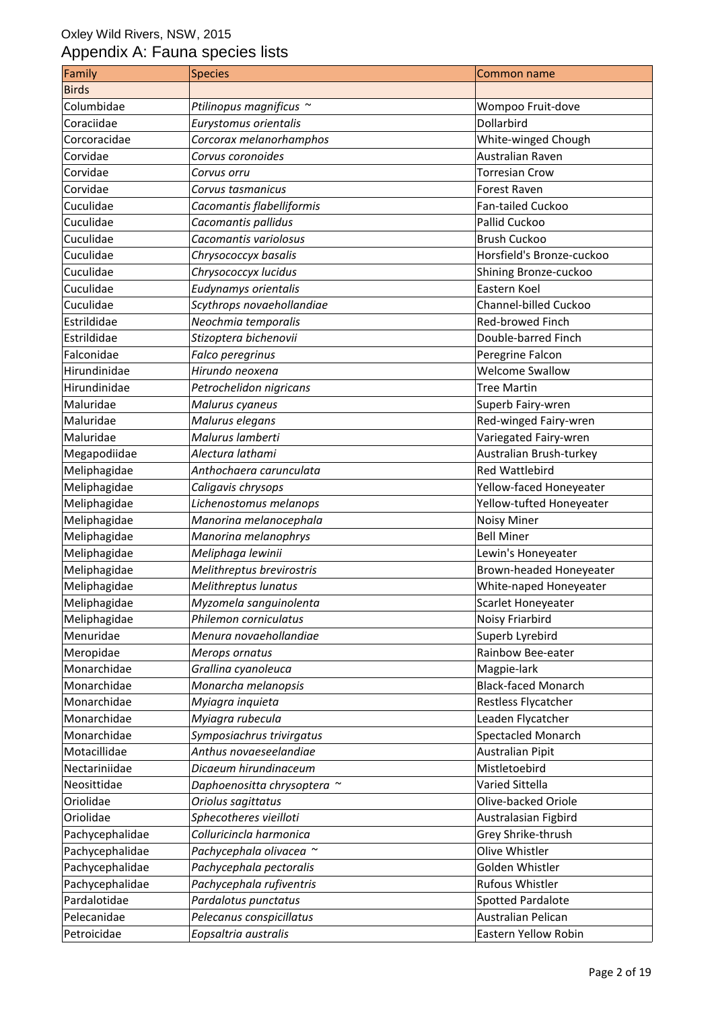| Family          | <b>Species</b>              | Common name                |
|-----------------|-----------------------------|----------------------------|
| <b>Birds</b>    |                             |                            |
| Columbidae      | Ptilinopus magnificus ~     | Wompoo Fruit-dove          |
| Coraciidae      | Eurystomus orientalis       | Dollarbird                 |
| Corcoracidae    | Corcorax melanorhamphos     | White-winged Chough        |
| Corvidae        | Corvus coronoides           | Australian Raven           |
| Corvidae        | Corvus orru                 | <b>Torresian Crow</b>      |
| Corvidae        | Corvus tasmanicus           | Forest Raven               |
| Cuculidae       | Cacomantis flabelliformis   | Fan-tailed Cuckoo          |
| Cuculidae       | Cacomantis pallidus         | Pallid Cuckoo              |
| Cuculidae       | Cacomantis variolosus       | <b>Brush Cuckoo</b>        |
| Cuculidae       | Chrysococcyx basalis        | Horsfield's Bronze-cuckoo  |
| Cuculidae       | Chrysococcyx lucidus        | Shining Bronze-cuckoo      |
| Cuculidae       | Eudynamys orientalis        | Eastern Koel               |
| Cuculidae       | Scythrops novaehollandiae   | Channel-billed Cuckoo      |
| Estrildidae     | Neochmia temporalis         | Red-browed Finch           |
| Estrildidae     | Stizoptera bichenovii       | Double-barred Finch        |
| Falconidae      | Falco peregrinus            | Peregrine Falcon           |
| Hirundinidae    | Hirundo neoxena             | <b>Welcome Swallow</b>     |
| Hirundinidae    | Petrochelidon nigricans     | <b>Tree Martin</b>         |
| Maluridae       | Malurus cyaneus             | Superb Fairy-wren          |
| Maluridae       | Malurus elegans             | Red-winged Fairy-wren      |
| Maluridae       | Malurus lamberti            | Variegated Fairy-wren      |
| Megapodiidae    | Alectura lathami            | Australian Brush-turkey    |
| Meliphagidae    | Anthochaera carunculata     | <b>Red Wattlebird</b>      |
| Meliphagidae    | Caligavis chrysops          | Yellow-faced Honeyeater    |
| Meliphagidae    | Lichenostomus melanops      | Yellow-tufted Honeyeater   |
| Meliphagidae    | Manorina melanocephala      | <b>Noisy Miner</b>         |
| Meliphagidae    | Manorina melanophrys        | <b>Bell Miner</b>          |
| Meliphagidae    | Meliphaga lewinii           | Lewin's Honeyeater         |
| Meliphagidae    | Melithreptus brevirostris   | Brown-headed Honeyeater    |
| Meliphagidae    | Melithreptus lunatus        | White-naped Honeyeater     |
| Meliphagidae    | Myzomela sanguinolenta      | Scarlet Honeyeater         |
| Meliphagidae    | Philemon corniculatus       | Noisy Friarbird            |
| Menuridae       | Menura novaehollandiae      | Superb Lyrebird            |
| Meropidae       | Merops ornatus              | Rainbow Bee-eater          |
| Monarchidae     | Grallina cyanoleuca         | Magpie-lark                |
| Monarchidae     | Monarcha melanopsis         | <b>Black-faced Monarch</b> |
| Monarchidae     | Myiagra inquieta            | Restless Flycatcher        |
| Monarchidae     | Myiagra rubecula            | Leaden Flycatcher          |
| Monarchidae     | Symposiachrus trivirgatus   | <b>Spectacled Monarch</b>  |
| Motacillidae    | Anthus novaeseelandiae      | Australian Pipit           |
| Nectariniidae   | Dicaeum hirundinaceum       | Mistletoebird              |
| Neosittidae     | Daphoenositta chrysoptera ~ | Varied Sittella            |
| Oriolidae       | Oriolus sagittatus          | Olive-backed Oriole        |
| Oriolidae       | Sphecotheres vieilloti      | Australasian Figbird       |
| Pachycephalidae | Colluricincla harmonica     | Grey Shrike-thrush         |
| Pachycephalidae | Pachycephala olivacea ~     | Olive Whistler             |
| Pachycephalidae | Pachycephala pectoralis     | Golden Whistler            |
| Pachycephalidae | Pachycephala rufiventris    | <b>Rufous Whistler</b>     |
| Pardalotidae    | Pardalotus punctatus        | Spotted Pardalote          |
| Pelecanidae     | Pelecanus conspicillatus    | Australian Pelican         |
| Petroicidae     | Eopsaltria australis        | Eastern Yellow Robin       |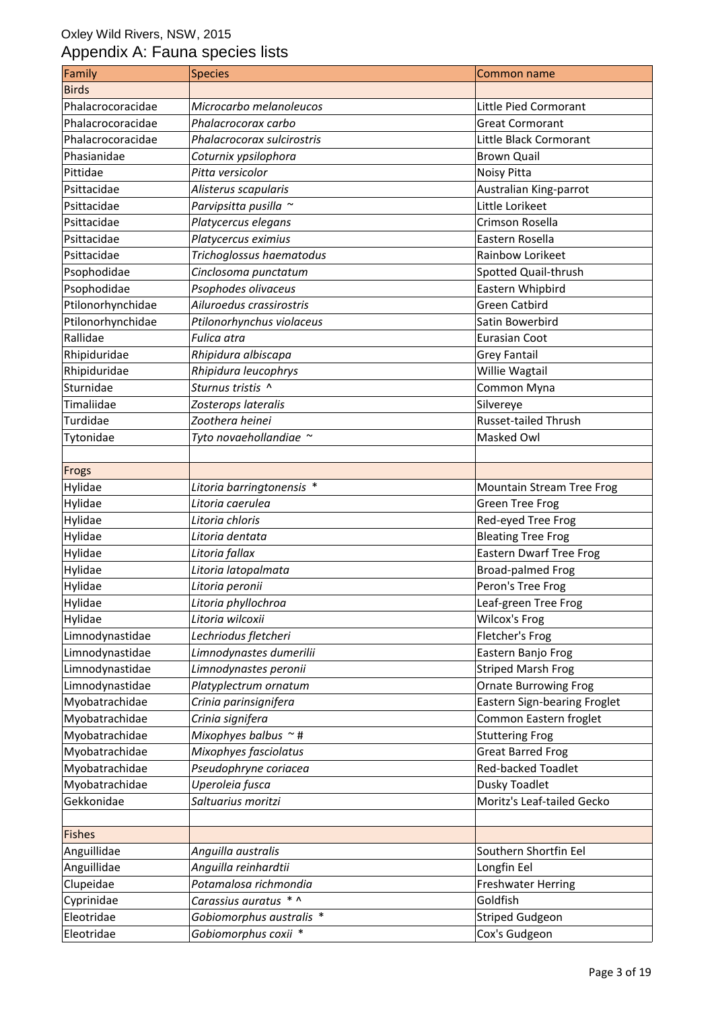| Family            | <b>Species</b>             | Common name                    |
|-------------------|----------------------------|--------------------------------|
| <b>Birds</b>      |                            |                                |
| Phalacrocoracidae | Microcarbo melanoleucos    | Little Pied Cormorant          |
| Phalacrocoracidae | Phalacrocorax carbo        | <b>Great Cormorant</b>         |
| Phalacrocoracidae | Phalacrocorax sulcirostris | Little Black Cormorant         |
| Phasianidae       | Coturnix ypsilophora       | <b>Brown Quail</b>             |
| Pittidae          | Pitta versicolor           | Noisy Pitta                    |
| Psittacidae       | Alisterus scapularis       | Australian King-parrot         |
| Psittacidae       | Parvipsitta pusilla ~      | Little Lorikeet                |
| Psittacidae       | Platycercus elegans        | Crimson Rosella                |
| Psittacidae       | Platycercus eximius        | Eastern Rosella                |
| Psittacidae       | Trichoglossus haematodus   | Rainbow Lorikeet               |
| Psophodidae       | Cinclosoma punctatum       | Spotted Quail-thrush           |
| Psophodidae       | Psophodes olivaceus        | Eastern Whipbird               |
| Ptilonorhynchidae | Ailuroedus crassirostris   | <b>Green Catbird</b>           |
| Ptilonorhynchidae | Ptilonorhynchus violaceus  | Satin Bowerbird                |
| Rallidae          | Fulica atra                | <b>Eurasian Coot</b>           |
| Rhipiduridae      | Rhipidura albiscapa        | <b>Grey Fantail</b>            |
| Rhipiduridae      | Rhipidura leucophrys       | Willie Wagtail                 |
| Sturnidae         | Sturnus tristis ^          | Common Myna                    |
| Timaliidae        | Zosterops lateralis        | Silvereye                      |
| Turdidae          | Zoothera heinei            | <b>Russet-tailed Thrush</b>    |
| Tytonidae         | Tyto novaehollandiae ~     | Masked Owl                     |
|                   |                            |                                |
| Frogs             |                            |                                |
| Hylidae           | Litoria barringtonensis *  | Mountain Stream Tree Frog      |
| Hylidae           | Litoria caerulea           | <b>Green Tree Frog</b>         |
| Hylidae           | Litoria chloris            | Red-eyed Tree Frog             |
| Hylidae           | Litoria dentata            | <b>Bleating Tree Frog</b>      |
| Hylidae           | Litoria fallax             | <b>Eastern Dwarf Tree Frog</b> |
| Hylidae           | Litoria latopalmata        | <b>Broad-palmed Frog</b>       |
| Hylidae           | Litoria peronii            | Peron's Tree Frog              |
| Hylidae           | Litoria phyllochroa        | Leaf-green Tree Frog           |
| Hylidae           | Litoria wilcoxii           | Wilcox's Frog                  |
| Limnodynastidae   | Lechriodus fletcheri       | Fletcher's Frog                |
| Limnodynastidae   | Limnodynastes dumerilii    | Eastern Banjo Frog             |
| Limnodynastidae   | Limnodynastes peronii      | <b>Striped Marsh Frog</b>      |
| Limnodynastidae   | Platyplectrum ornatum      | <b>Ornate Burrowing Frog</b>   |
| Myobatrachidae    | Crinia parinsignifera      | Eastern Sign-bearing Froglet   |
| Myobatrachidae    | Crinia signifera           | Common Eastern froglet         |
| Myobatrachidae    | Mixophyes balbus $\sim$ #  | <b>Stuttering Frog</b>         |
| Myobatrachidae    | Mixophyes fasciolatus      | <b>Great Barred Frog</b>       |
| Myobatrachidae    | Pseudophryne coriacea      | Red-backed Toadlet             |
| Myobatrachidae    | Uperoleia fusca            | Dusky Toadlet                  |
| Gekkonidae        | Saltuarius moritzi         | Moritz's Leaf-tailed Gecko     |
|                   |                            |                                |
| <b>Fishes</b>     |                            |                                |
| Anguillidae       | Anguilla australis         | Southern Shortfin Eel          |
| Anguillidae       | Anguilla reinhardtii       | Longfin Eel                    |
| Clupeidae         | Potamalosa richmondia      | <b>Freshwater Herring</b>      |
| Cyprinidae        | Carassius auratus * ^      | Goldfish                       |
| Eleotridae        | Gobiomorphus australis *   | <b>Striped Gudgeon</b>         |
| Eleotridae        | Gobiomorphus coxii *       | Cox's Gudgeon                  |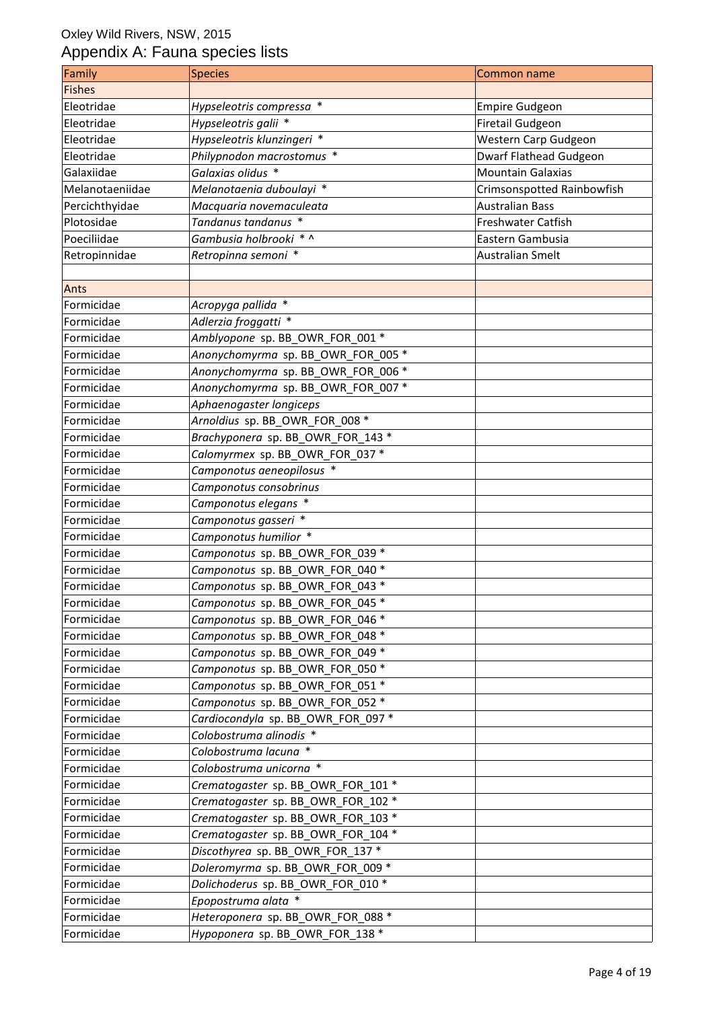| Family          | <b>Species</b>                     | Common name                |
|-----------------|------------------------------------|----------------------------|
| <b>Fishes</b>   |                                    |                            |
| Eleotridae      | Hypseleotris compressa *           | <b>Empire Gudgeon</b>      |
| Eleotridae      | Hypseleotris galii *               | <b>Firetail Gudgeon</b>    |
| Eleotridae      | Hypseleotris klunzingeri *         | Western Carp Gudgeon       |
| Eleotridae      | Philypnodon macrostomus *          | Dwarf Flathead Gudgeon     |
| Galaxiidae      | Galaxias olidus *                  | <b>Mountain Galaxias</b>   |
| Melanotaeniidae | Melanotaenia duboulayi *           | Crimsonspotted Rainbowfish |
| Percichthyidae  | Macquaria novemaculeata            | <b>Australian Bass</b>     |
| Plotosidae      | Tandanus tandanus *                | <b>Freshwater Catfish</b>  |
| Poeciliidae     | Gambusia holbrooki * ^             | Eastern Gambusia           |
| Retropinnidae   | Retropinna semoni *                | Australian Smelt           |
| Ants            |                                    |                            |
| Formicidae      | Acropyga pallida *                 |                            |
| Formicidae      | Adlerzia froggatti *               |                            |
| Formicidae      | Amblyopone sp. BB_OWR_FOR_001 *    |                            |
| Formicidae      | Anonychomyrma sp. BB OWR FOR 005 * |                            |
| Formicidae      | Anonychomyrma sp. BB_OWR_FOR_006 * |                            |
| Formicidae      | Anonychomyrma sp. BB_OWR_FOR_007 * |                            |
| Formicidae      | Aphaenogaster longiceps            |                            |
| Formicidae      | Arnoldius sp. BB_OWR_FOR_008 *     |                            |
| Formicidae      | Brachyponera sp. BB_OWR_FOR 143 *  |                            |
| Formicidae      | Calomyrmex sp. BB_OWR_FOR_037 *    |                            |
| Formicidae      | Camponotus aeneopilosus *          |                            |
| Formicidae      | Camponotus consobrinus             |                            |
| Formicidae      | Camponotus elegans *               |                            |
| Formicidae      | Camponotus gasseri *               |                            |
| Formicidae      | Camponotus humilior *              |                            |
| Formicidae      | Camponotus sp. BB OWR FOR 039 *    |                            |
| Formicidae      | Camponotus sp. BB_OWR_FOR_040 *    |                            |
| Formicidae      | Camponotus sp. BB_OWR_FOR_043 *    |                            |
| Formicidae      | Camponotus sp. BB OWR FOR 045 *    |                            |
| Formicidae      | Camponotus sp. BB_OWR_FOR_046 *    |                            |
| Formicidae      | Camponotus sp. BB_OWR_FOR_048 *    |                            |
| Formicidae      | Camponotus sp. BB_OWR_FOR_049 *    |                            |
| Formicidae      | Camponotus sp. BB_OWR_FOR_050 *    |                            |
| Formicidae      | Camponotus sp. BB OWR FOR 051 *    |                            |
| Formicidae      | Camponotus sp. BB_OWR_FOR_052 *    |                            |
| Formicidae      | Cardiocondyla sp. BB_OWR_FOR_097 * |                            |
| Formicidae      | Colobostruma alinodis *            |                            |
| Formicidae      | Colobostruma lacuna *              |                            |
| Formicidae      | Colobostruma unicorna *            |                            |
| Formicidae      | Crematogaster sp. BB_OWR_FOR_101 * |                            |
| Formicidae      | Crematogaster sp. BB_OWR_FOR_102 * |                            |
| Formicidae      | Crematogaster sp. BB_OWR_FOR_103 * |                            |
| Formicidae      | Crematogaster sp. BB_OWR_FOR_104 * |                            |
| Formicidae      | Discothyrea sp. BB_OWR_FOR_137 *   |                            |
| Formicidae      | Doleromyrma sp. BB_OWR_FOR_009 *   |                            |
| Formicidae      | Dolichoderus sp. BB_OWR_FOR_010 *  |                            |
| Formicidae      | Epopostruma alata *                |                            |
| Formicidae      | Heteroponera sp. BB_OWR_FOR_088 *  |                            |
| Formicidae      | Hypoponera sp. BB_OWR_FOR_138 *    |                            |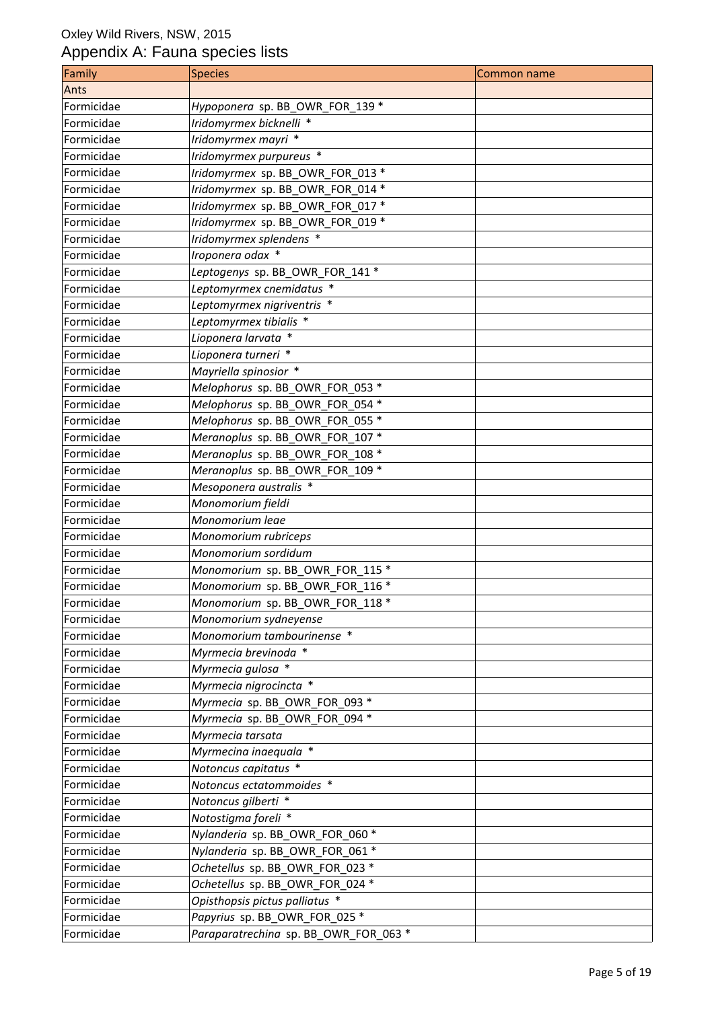| Family     | <b>Species</b>                        | <b>Common name</b> |
|------------|---------------------------------------|--------------------|
| Ants       |                                       |                    |
| Formicidae | Hypoponera sp. BB_OWR_FOR_139 *       |                    |
| Formicidae | Iridomyrmex bicknelli *               |                    |
| Formicidae | Iridomyrmex mayri *                   |                    |
| Formicidae | Iridomyrmex purpureus *               |                    |
| Formicidae | Iridomyrmex sp. BB_OWR_FOR_013 *      |                    |
| Formicidae | Iridomyrmex sp. BB_OWR_FOR_014 *      |                    |
| Formicidae | Iridomyrmex sp. BB_OWR_FOR_017 *      |                    |
| Formicidae | Iridomyrmex sp. BB_OWR_FOR_019 *      |                    |
| Formicidae | Iridomyrmex splendens *               |                    |
| Formicidae | Iroponera odax *                      |                    |
| Formicidae | Leptogenys sp. BB_OWR_FOR_141 *       |                    |
| Formicidae | Leptomyrmex cnemidatus *              |                    |
| Formicidae | Leptomyrmex nigriventris *            |                    |
| Formicidae | Leptomyrmex tibialis *                |                    |
| Formicidae | Lioponera larvata *                   |                    |
| Formicidae | Lioponera turneri *                   |                    |
| Formicidae | Mayriella spinosior *                 |                    |
| Formicidae | Melophorus sp. BB OWR FOR 053 *       |                    |
| Formicidae | Melophorus sp. BB_OWR_FOR_054 *       |                    |
| Formicidae | Melophorus sp. BB OWR FOR 055 *       |                    |
| Formicidae | Meranoplus sp. BB_OWR_FOR_107 *       |                    |
| Formicidae | Meranoplus sp. BB_OWR_FOR_108 *       |                    |
| Formicidae | Meranoplus sp. BB_OWR_FOR_109 *       |                    |
| Formicidae | Mesoponera australis *                |                    |
| Formicidae | Monomorium fieldi                     |                    |
| Formicidae | Monomorium leae                       |                    |
| Formicidae | Monomorium rubriceps                  |                    |
| Formicidae | Monomorium sordidum                   |                    |
| Formicidae | Monomorium sp. BB_OWR_FOR_115 *       |                    |
| Formicidae | Monomorium sp. BB_OWR_FOR_116 *       |                    |
| Formicidae | Monomorium sp. BB OWR FOR 118 *       |                    |
| Formicidae | Monomorium sydneyense                 |                    |
| Formicidae | Monomorium tambourinense *            |                    |
| Formicidae | Myrmecia brevinoda *                  |                    |
| Formicidae | Myrmecia gulosa *                     |                    |
| Formicidae | Myrmecia nigrocincta *                |                    |
| Formicidae | Myrmecia sp. BB_OWR_FOR_093 *         |                    |
| Formicidae | Myrmecia sp. BB OWR FOR 094 *         |                    |
| Formicidae | Myrmecia tarsata                      |                    |
| Formicidae | Myrmecina inaequala *                 |                    |
| Formicidae | Notoncus capitatus *                  |                    |
| Formicidae | Notoncus ectatommoides *              |                    |
| Formicidae | Notoncus gilberti *                   |                    |
| Formicidae | Notostigma foreli *                   |                    |
| Formicidae | Nylanderia sp. BB_OWR_FOR_060 *       |                    |
| Formicidae | Nylanderia sp. BB OWR FOR 061 *       |                    |
| Formicidae | Ochetellus sp. BB_OWR_FOR_023 *       |                    |
| Formicidae | Ochetellus sp. BB_OWR_FOR_024 *       |                    |
| Formicidae | Opisthopsis pictus palliatus *        |                    |
| Formicidae | Papyrius sp. BB_OWR_FOR_025 *         |                    |
| Formicidae | Paraparatrechina sp. BB_OWR_FOR_063 * |                    |
|            |                                       |                    |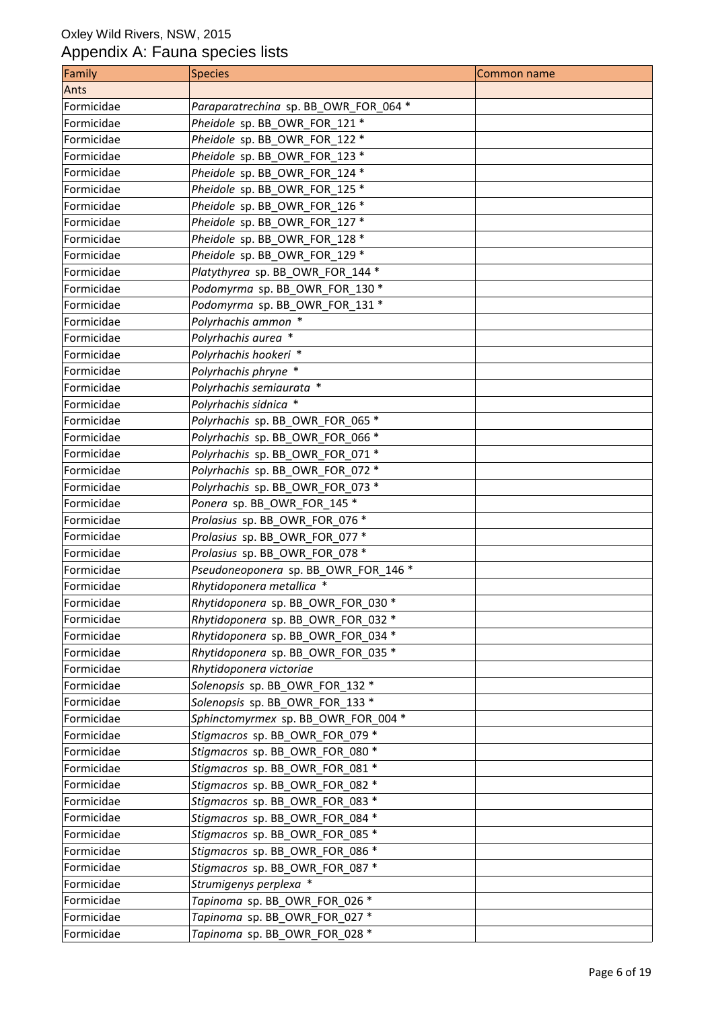| Family     | <b>Species</b>                        | <b>Common name</b> |
|------------|---------------------------------------|--------------------|
| Ants       |                                       |                    |
| Formicidae | Paraparatrechina sp. BB_OWR_FOR_064 * |                    |
| Formicidae | Pheidole sp. BB_OWR_FOR_121 *         |                    |
| Formicidae | Pheidole sp. BB OWR FOR 122 *         |                    |
| Formicidae | Pheidole sp. BB_OWR_FOR_123 *         |                    |
| Formicidae | Pheidole sp. BB_OWR_FOR_124 *         |                    |
| Formicidae | Pheidole sp. BB_OWR_FOR_125 *         |                    |
| Formicidae | Pheidole sp. BB OWR FOR 126 *         |                    |
| Formicidae | Pheidole sp. BB OWR FOR 127 *         |                    |
| Formicidae | Pheidole sp. BB_OWR_FOR_128 *         |                    |
| Formicidae | Pheidole sp. BB_OWR_FOR_129 *         |                    |
| Formicidae | Platythyrea sp. BB_OWR_FOR_144 *      |                    |
| Formicidae | Podomyrma sp. BB_OWR_FOR_130 *        |                    |
| Formicidae | Podomyrma sp. BB_OWR_FOR_131 *        |                    |
| Formicidae | Polyrhachis ammon *                   |                    |
| Formicidae | Polyrhachis aurea *                   |                    |
| Formicidae | Polyrhachis hookeri *                 |                    |
| Formicidae | Polyrhachis phryne *                  |                    |
| Formicidae | Polyrhachis semiaurata *              |                    |
| Formicidae | Polyrhachis sidnica *                 |                    |
| Formicidae | Polyrhachis sp. BB_OWR_FOR_065 *      |                    |
| Formicidae | Polyrhachis sp. BB_OWR_FOR_066 *      |                    |
| Formicidae | Polyrhachis sp. BB_OWR_FOR_071 *      |                    |
| Formicidae | Polyrhachis sp. BB_OWR_FOR_072 *      |                    |
| Formicidae | Polyrhachis sp. BB_OWR_FOR_073 *      |                    |
| Formicidae | Ponera sp. BB_OWR_FOR_145 *           |                    |
| Formicidae | Prolasius sp. BB_OWR_FOR_076 *        |                    |
| Formicidae | Prolasius sp. BB_OWR_FOR_077 *        |                    |
| Formicidae | Prolasius sp. BB_OWR_FOR_078 *        |                    |
| Formicidae | Pseudoneoponera sp. BB_OWR_FOR_146 *  |                    |
| Formicidae | Rhytidoponera metallica *             |                    |
| Formicidae | Rhytidoponera sp. BB_OWR_FOR_030 *    |                    |
| Formicidae | Rhytidoponera sp. BB_OWR_FOR_032 *    |                    |
| Formicidae | Rhytidoponera sp. BB OWR FOR 034 *    |                    |
| Formicidae | Rhytidoponera sp. BB_OWR_FOR_035 *    |                    |
| Formicidae | Rhytidoponera victoriae               |                    |
| Formicidae | Solenopsis sp. BB_OWR_FOR_132 *       |                    |
| Formicidae | Solenopsis sp. BB_OWR_FOR_133 *       |                    |
| Formicidae | Sphinctomyrmex sp. BB_OWR_FOR_004 *   |                    |
| Formicidae | Stigmacros sp. BB OWR FOR 079 *       |                    |
| Formicidae | Stigmacros sp. BB_OWR_FOR_080 *       |                    |
| Formicidae | Stigmacros sp. BB_OWR_FOR_081 *       |                    |
| Formicidae | Stigmacros sp. BB_OWR_FOR_082 *       |                    |
| Formicidae | Stigmacros sp. BB_OWR_FOR_083 *       |                    |
| Formicidae | Stigmacros sp. BB_OWR_FOR_084 *       |                    |
| Formicidae | Stigmacros sp. BB_OWR_FOR_085 *       |                    |
| Formicidae | Stigmacros sp. BB_OWR_FOR_086 *       |                    |
| Formicidae | Stigmacros sp. BB_OWR_FOR_087 *       |                    |
| Formicidae | Strumigenys perplexa *                |                    |
| Formicidae | Tapinoma sp. BB_OWR_FOR_026 *         |                    |
| Formicidae | Tapinoma sp. BB_OWR_FOR_027 *         |                    |
| Formicidae | Tapinoma sp. BB_OWR_FOR_028 *         |                    |
|            |                                       |                    |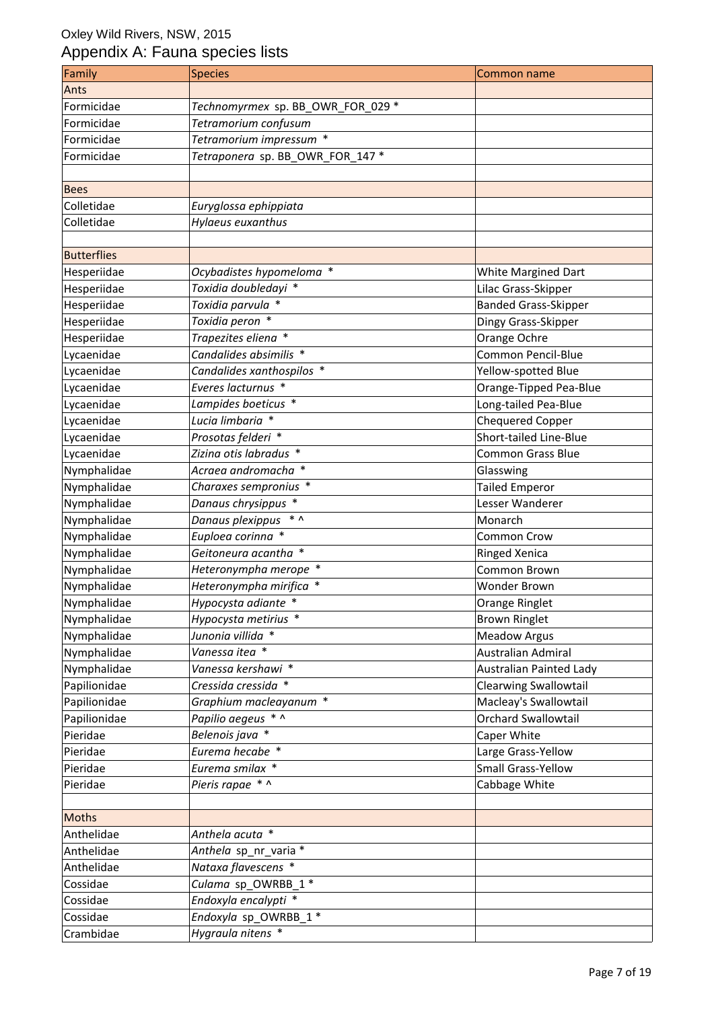| Family             | <b>Species</b>                    | Common name                  |
|--------------------|-----------------------------------|------------------------------|
| Ants               |                                   |                              |
| Formicidae         | Technomyrmex sp. BB_OWR_FOR_029 * |                              |
| Formicidae         | Tetramorium confusum              |                              |
| Formicidae         | Tetramorium impressum *           |                              |
| Formicidae         | Tetraponera sp. BB_OWR_FOR_147 *  |                              |
|                    |                                   |                              |
| <b>Bees</b>        |                                   |                              |
| Colletidae         | Euryglossa ephippiata             |                              |
| Colletidae         | Hylaeus euxanthus                 |                              |
|                    |                                   |                              |
| <b>Butterflies</b> |                                   |                              |
| Hesperiidae        | Ocybadistes hypomeloma *          | White Margined Dart          |
| Hesperiidae        | Toxidia doubledayi *              | Lilac Grass-Skipper          |
| Hesperiidae        | Toxidia parvula *                 | <b>Banded Grass-Skipper</b>  |
| Hesperiidae        | Toxidia peron *                   | Dingy Grass-Skipper          |
| Hesperiidae        | Trapezites eliena *               | Orange Ochre                 |
| Lycaenidae         | Candalides absimilis *            | <b>Common Pencil-Blue</b>    |
| Lycaenidae         | Candalides xanthospilos *         | Yellow-spotted Blue          |
| Lycaenidae         | Everes lacturnus *                | Orange-Tipped Pea-Blue       |
| Lycaenidae         | Lampides boeticus *               | Long-tailed Pea-Blue         |
| Lycaenidae         | Lucia limbaria *                  | <b>Chequered Copper</b>      |
| Lycaenidae         | Prosotas felderi *                | Short-tailed Line-Blue       |
| Lycaenidae         | Zizina otis labradus *            | <b>Common Grass Blue</b>     |
| Nymphalidae        | Acraea andromacha *               | Glasswing                    |
| Nymphalidae        | Charaxes sempronius *             | <b>Tailed Emperor</b>        |
| Nymphalidae        | Danaus chrysippus *               | Lesser Wanderer              |
| Nymphalidae        | Danaus plexippus * ^              | Monarch                      |
| Nymphalidae        | Euploea corinna *                 | Common Crow                  |
| Nymphalidae        | Geitoneura acantha *              | <b>Ringed Xenica</b>         |
| Nymphalidae        | Heteronympha merope *             | Common Brown                 |
|                    |                                   |                              |
| Nymphalidae        | Heteronympha mirifica *           | Wonder Brown                 |
| Nymphalidae        | Hypocysta adiante *               | Orange Ringlet               |
| Nymphalidae        | Hypocysta metirius *              | <b>Brown Ringlet</b>         |
| Nymphalidae        | Junonia villida *                 | <b>Meadow Argus</b>          |
| Nymphalidae        | Vanessa itea *                    | Australian Admiral           |
| Nymphalidae        | Vanessa kershawi *                | Australian Painted Lady      |
| Papilionidae       | Cressida cressida *               | <b>Clearwing Swallowtail</b> |
| Papilionidae       | Graphium macleayanum *            | Macleay's Swallowtail        |
| Papilionidae       | Papilio aegeus * ^                | <b>Orchard Swallowtail</b>   |
| Pieridae           | Belenois java *                   | Caper White                  |
| Pieridae           | Eurema hecabe *                   | Large Grass-Yellow           |
| Pieridae           | Eurema smilax *                   | Small Grass-Yellow           |
| Pieridae           | Pieris rapae * ^                  | Cabbage White                |
|                    |                                   |                              |
| Moths              |                                   |                              |
| Anthelidae         | Anthela acuta *                   |                              |
| Anthelidae         | Anthela sp_nr_varia *             |                              |
| Anthelidae         | Nataxa flavescens *               |                              |
| Cossidae           | Culama sp_OWRBB_1 *               |                              |
| Cossidae           | Endoxyla encalypti *              |                              |
| Cossidae           | Endoxyla sp_OWRBB_1 *             |                              |
| Crambidae          | Hygraula nitens *                 |                              |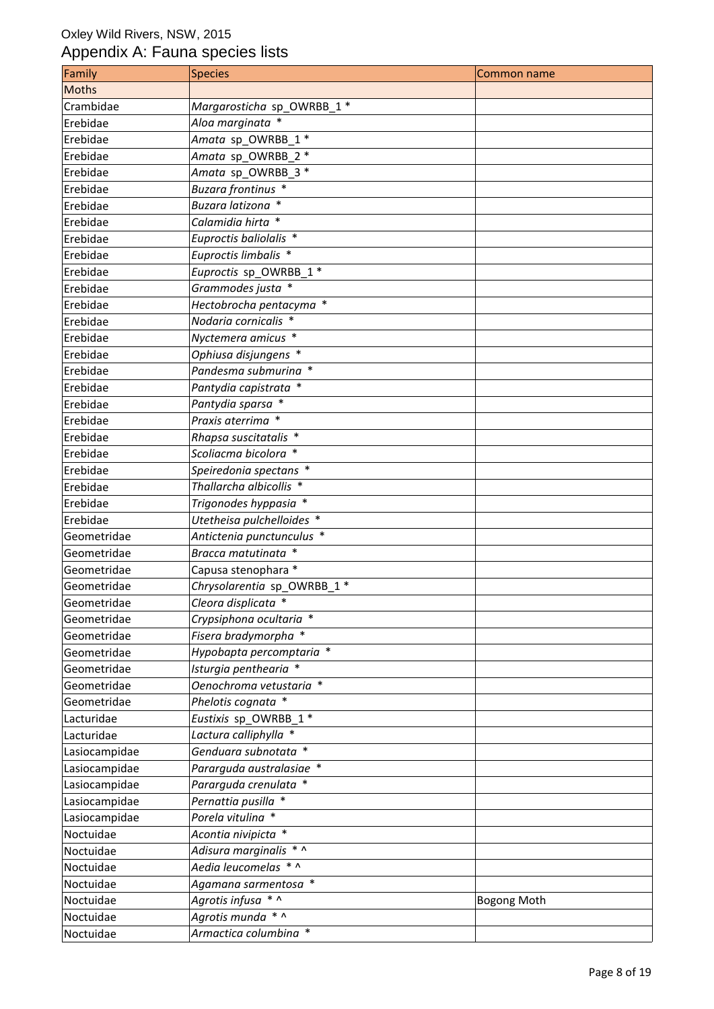| Family        | <b>Species</b>                | <b>Common name</b> |
|---------------|-------------------------------|--------------------|
| <b>Moths</b>  |                               |                    |
| Crambidae     | Margarosticha sp OWRBB 1 *    |                    |
| Erebidae      | Aloa marginata *              |                    |
| Erebidae      | Amata sp_OWRBB_1 *            |                    |
| Erebidae      | Amata sp OWRBB 2 *            |                    |
| Erebidae      | Amata sp_OWRBB_3 *            |                    |
| Erebidae      | Buzara frontinus *            |                    |
| Erebidae      | Buzara latizona *             |                    |
| Erebidae      | Calamidia hirta *             |                    |
| Erebidae      | Euproctis baliolalis *        |                    |
| Erebidae      | Euproctis limbalis *          |                    |
| Erebidae      | Euproctis sp_OWRBB 1 *        |                    |
| Erebidae      | Grammodes justa *             |                    |
| Erebidae      | Hectobrocha pentacyma *       |                    |
| Erebidae      | Nodaria cornicalis *          |                    |
| Erebidae      | Nyctemera amicus <sup>*</sup> |                    |
| Erebidae      | Ophiusa disjungens *          |                    |
| Erebidae      | Pandesma submurina *          |                    |
| Erebidae      | Pantydia capistrata *         |                    |
| Erebidae      | Pantydia sparsa *             |                    |
| Erebidae      | Praxis aterrima *             |                    |
| Erebidae      | Rhapsa suscitatalis *         |                    |
| Erebidae      | Scoliacma bicolora *          |                    |
| Erebidae      | Speiredonia spectans *        |                    |
| Erebidae      | Thallarcha albicollis *       |                    |
| Erebidae      | Trigonodes hyppasia *         |                    |
| Erebidae      | Utetheisa pulchelloides *     |                    |
| Geometridae   | Antictenia punctunculus *     |                    |
| Geometridae   | Bracca matutinata *           |                    |
| Geometridae   | Capusa stenophara *           |                    |
| Geometridae   | Chrysolarentia sp_OWRBB_1 *   |                    |
| Geometridae   | Cleora displicata *           |                    |
| Geometridae   | Crypsiphona ocultaria *       |                    |
| Geometridae   | Fisera bradymorpha *          |                    |
| Geometridae   | Hypobapta percomptaria *      |                    |
| Geometridae   | Isturgia penthearia *         |                    |
| Geometridae   | Oenochroma vetustaria *       |                    |
| Geometridae   | Phelotis cognata *            |                    |
| Lacturidae    | Eustixis sp_OWRBB_1 *         |                    |
| Lacturidae    | Lactura calliphylla *         |                    |
| Lasiocampidae | Genduara subnotata *          |                    |
| Lasiocampidae | Pararguda australasiae *      |                    |
| Lasiocampidae | Pararguda crenulata *         |                    |
| Lasiocampidae | Pernattia pusilla *           |                    |
| Lasiocampidae | Porela vitulina *             |                    |
| Noctuidae     | Acontia nivipicta *           |                    |
| Noctuidae     | Adisura marginalis * ^        |                    |
| Noctuidae     | Aedia leucomelas * ^          |                    |
| Noctuidae     | Agamana sarmentosa *          |                    |
| Noctuidae     | Agrotis infusa * ^            | <b>Bogong Moth</b> |
| Noctuidae     | Agrotis munda * ^             |                    |
| Noctuidae     | Armactica columbina *         |                    |
|               |                               |                    |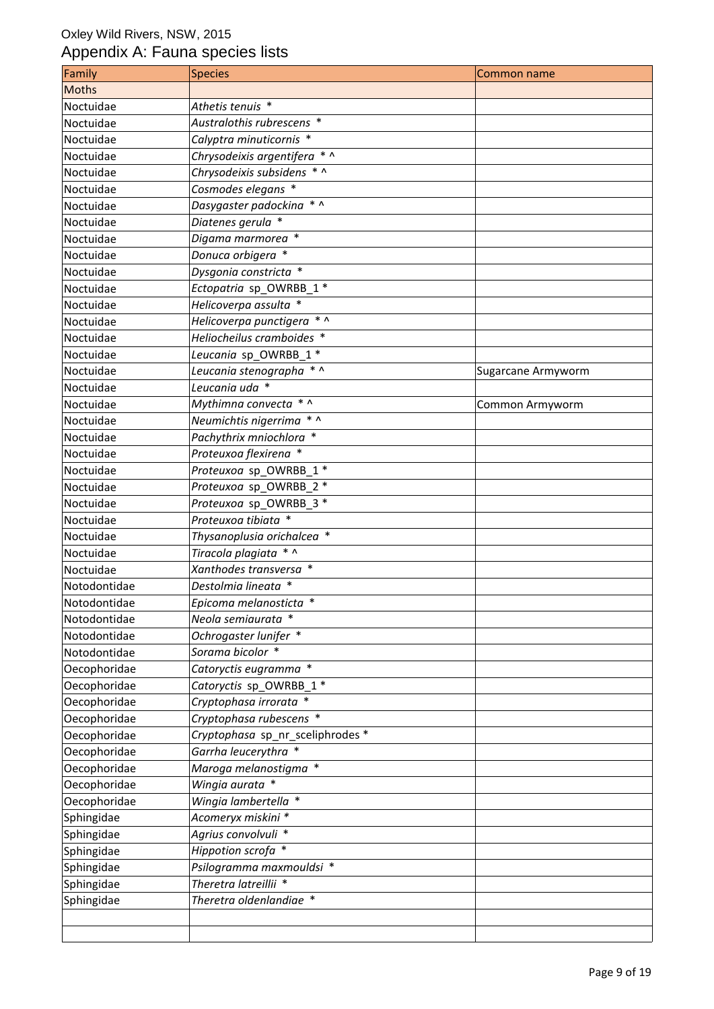| Family       | <b>Species</b>                   | Common name        |
|--------------|----------------------------------|--------------------|
| Moths        |                                  |                    |
| Noctuidae    | Athetis tenuis *                 |                    |
| Noctuidae    | Australothis rubrescens *        |                    |
| Noctuidae    | Calyptra minuticornis *          |                    |
| Noctuidae    | Chrysodeixis argentifera * ^     |                    |
| Noctuidae    | Chrysodeixis subsidens * ^       |                    |
| Noctuidae    | Cosmodes elegans *               |                    |
| Noctuidae    | Dasygaster padockina * ^         |                    |
| Noctuidae    | Diatenes gerula *                |                    |
| Noctuidae    | Digama marmorea *                |                    |
| Noctuidae    | Donuca orbigera *                |                    |
| Noctuidae    | Dysgonia constricta *            |                    |
| Noctuidae    | Ectopatria sp_OWRBB_1 *          |                    |
| Noctuidae    | Helicoverpa assulta *            |                    |
| Noctuidae    | Helicoverpa punctigera * ^       |                    |
| Noctuidae    | Heliocheilus cramboides *        |                    |
| Noctuidae    | Leucania sp OWRBB 1*             |                    |
| Noctuidae    | Leucania stenographa * ^         | Sugarcane Armyworm |
| Noctuidae    | Leucania uda *                   |                    |
| Noctuidae    | Mythimna convecta * ^            | Common Armyworm    |
| Noctuidae    | Neumichtis nigerrima * ^         |                    |
| Noctuidae    | Pachythrix mniochlora *          |                    |
| Noctuidae    | Proteuxoa flexirena *            |                    |
| Noctuidae    | Proteuxoa sp_OWRBB_1 *           |                    |
| Noctuidae    | Proteuxoa sp_OWRBB_2 *           |                    |
| Noctuidae    | Proteuxoa sp_OWRBB_3 *           |                    |
| Noctuidae    | Proteuxoa tibiata *              |                    |
| Noctuidae    | Thysanoplusia orichalcea *       |                    |
| Noctuidae    | Tiracola plagiata * ^            |                    |
| Noctuidae    | Xanthodes transversa *           |                    |
| Notodontidae | Destolmia lineata *              |                    |
| Notodontidae | Epicoma melanosticta *           |                    |
| Notodontidae | Neola semiaurata *               |                    |
| Notodontidae | Ochrogaster lunifer *            |                    |
| Notodontidae | Sorama bicolor *                 |                    |
| Oecophoridae | Catoryctis eugramma *            |                    |
| Oecophoridae | Catoryctis sp_OWRBB_1 *          |                    |
| Oecophoridae | Cryptophasa irrorata *           |                    |
| Oecophoridae | Cryptophasa rubescens *          |                    |
| Oecophoridae | Cryptophasa sp nr sceliphrodes * |                    |
| Oecophoridae | Garrha leucerythra *             |                    |
| Oecophoridae | Maroga melanostigma *            |                    |
| Oecophoridae | Wingia aurata *                  |                    |
| Oecophoridae | Wingia lambertella *             |                    |
| Sphingidae   | Acomeryx miskini *               |                    |
| Sphingidae   | Agrius convolvuli *              |                    |
| Sphingidae   | Hippotion scrofa *               |                    |
| Sphingidae   | Psilogramma maxmouldsi *         |                    |
| Sphingidae   | Theretra latreillii *            |                    |
| Sphingidae   | Theretra oldenlandiae *          |                    |
|              |                                  |                    |
|              |                                  |                    |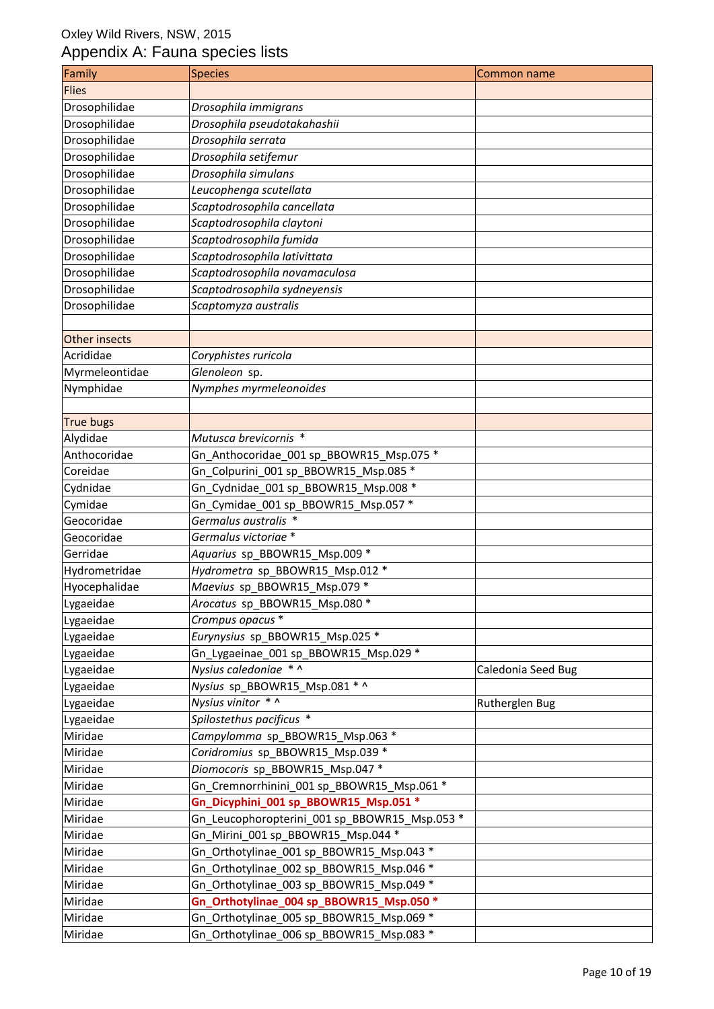| Family         | <b>Species</b>                                | Common name        |
|----------------|-----------------------------------------------|--------------------|
| <b>Flies</b>   |                                               |                    |
| Drosophilidae  | Drosophila immigrans                          |                    |
| Drosophilidae  | Drosophila pseudotakahashii                   |                    |
| Drosophilidae  | Drosophila serrata                            |                    |
| Drosophilidae  | Drosophila setifemur                          |                    |
| Drosophilidae  | Drosophila simulans                           |                    |
| Drosophilidae  | Leucophenga scutellata                        |                    |
| Drosophilidae  | Scaptodrosophila cancellata                   |                    |
| Drosophilidae  | Scaptodrosophila claytoni                     |                    |
| Drosophilidae  | Scaptodrosophila fumida                       |                    |
| Drosophilidae  | Scaptodrosophila lativittata                  |                    |
| Drosophilidae  | Scaptodrosophila novamaculosa                 |                    |
| Drosophilidae  | Scaptodrosophila sydneyensis                  |                    |
| Drosophilidae  | Scaptomyza australis                          |                    |
|                |                                               |                    |
| Other insects  |                                               |                    |
| Acrididae      | Coryphistes ruricola                          |                    |
| Myrmeleontidae | Glenoleon sp.                                 |                    |
| Nymphidae      | Nymphes myrmeleonoides                        |                    |
|                |                                               |                    |
| True bugs      |                                               |                    |
| Alydidae       | Mutusca brevicornis *                         |                    |
| Anthocoridae   | Gn_Anthocoridae_001 sp_BBOWR15_Msp.075 *      |                    |
| Coreidae       | Gn_Colpurini_001 sp_BBOWR15_Msp.085 *         |                    |
| Cydnidae       | Gn_Cydnidae_001 sp_BBOWR15_Msp.008 *          |                    |
| Cymidae        | Gn_Cymidae_001 sp_BBOWR15_Msp.057 *           |                    |
| Geocoridae     | Germalus australis *                          |                    |
| Geocoridae     | Germalus victoriae *                          |                    |
| Gerridae       | Aquarius sp_BBOWR15_Msp.009 *                 |                    |
| Hydrometridae  | Hydrometra sp_BBOWR15_Msp.012 *               |                    |
| Hyocephalidae  | Maevius sp_BBOWR15_Msp.079 *                  |                    |
| Lygaeidae      | Arocatus sp_BBOWR15_Msp.080 *                 |                    |
| Lygaeidae      | Crompus opacus *                              |                    |
| Lygaeidae      | Eurynysius sp_BBOWR15_Msp.025 *               |                    |
| Lygaeidae      | Gn_Lygaeinae_001 sp_BBOWR15_Msp.029 *         |                    |
| Lygaeidae      | Nysius caledoniae * ^                         | Caledonia Seed Bug |
| Lygaeidae      | Nysius sp_BBOWR15_Msp.081 * ^                 |                    |
| Lygaeidae      | Nysius vinitor * ^                            | Rutherglen Bug     |
| Lygaeidae      | Spilostethus pacificus *                      |                    |
| Miridae        | Campylomma sp_BBOWR15_Msp.063 *               |                    |
| Miridae        | Coridromius sp BBOWR15 Msp.039 *              |                    |
| Miridae        | Diomocoris sp_BBOWR15_Msp.047 *               |                    |
| Miridae        | Gn_Cremnorrhinini_001 sp_BBOWR15_Msp.061 *    |                    |
| Miridae        | Gn_Dicyphini_001 sp_BBOWR15_Msp.051 *         |                    |
| Miridae        | Gn_Leucophoropterini_001 sp_BBOWR15_Msp.053 * |                    |
| Miridae        | Gn_Mirini_001 sp_BBOWR15_Msp.044 *            |                    |
| Miridae        | Gn_Orthotylinae_001 sp_BBOWR15_Msp.043 *      |                    |
| Miridae        | Gn_Orthotylinae_002 sp_BBOWR15_Msp.046 *      |                    |
| Miridae        | Gn_Orthotylinae_003 sp_BBOWR15_Msp.049 *      |                    |
| Miridae        | Gn_Orthotylinae_004 sp_BBOWR15_Msp.050 *      |                    |
| Miridae        | Gn_Orthotylinae_005 sp_BBOWR15_Msp.069 *      |                    |
| Miridae        | Gn_Orthotylinae_006 sp_BBOWR15_Msp.083 *      |                    |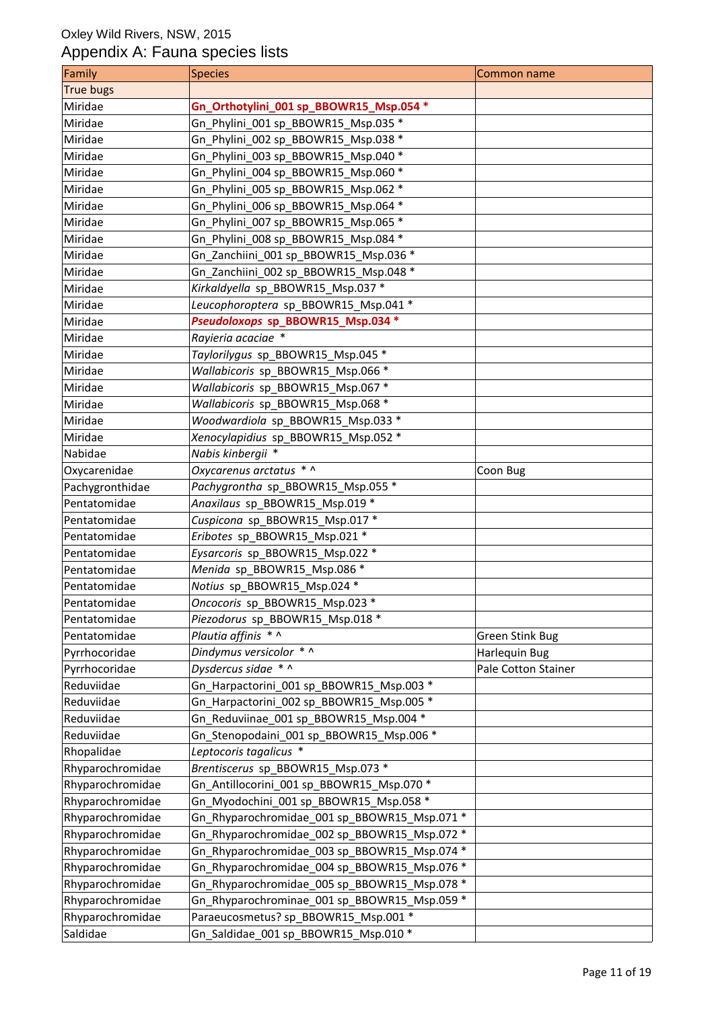| Family           | Species                                      | Common name            |
|------------------|----------------------------------------------|------------------------|
| True bugs        |                                              |                        |
| Miridae          | Gn_Orthotylini_001 sp_BBOWR15_Msp.054 *      |                        |
| Miridae          | Gn_Phylini_001 sp_BBOWR15_Msp.035 *          |                        |
| Miridae          | Gn_Phylini_002 sp_BBOWR15_Msp.038 *          |                        |
| Miridae          | Gn Phylini 003 sp BBOWR15 Msp.040 *          |                        |
| Miridae          | Gn_Phylini_004 sp_BBOWR15_Msp.060 *          |                        |
| Miridae          | Gn_Phylini_005 sp_BBOWR15_Msp.062 *          |                        |
| Miridae          | Gn_Phylini_006 sp_BBOWR15_Msp.064 *          |                        |
| Miridae          | Gn_Phylini_007 sp_BBOWR15_Msp.065 *          |                        |
| Miridae          | Gn_Phylini_008 sp_BBOWR15_Msp.084 *          |                        |
| Miridae          | Gn_Zanchiini_001 sp_BBOWR15_Msp.036 *        |                        |
| Miridae          | Gn Zanchiini_002 sp_BBOWR15_Msp.048 *        |                        |
| Miridae          | Kirkaldyella sp_BBOWR15_Msp.037 *            |                        |
| Miridae          | Leucophoroptera sp BBOWR15 Msp.041 *         |                        |
| Miridae          | Pseudoloxops sp_BBOWR15_Msp.034 *            |                        |
| Miridae          | Rayieria acaciae *                           |                        |
| Miridae          | Taylorilygus sp_BBOWR15_Msp.045 *            |                        |
| Miridae          | Wallabicoris sp_BBOWR15_Msp.066 *            |                        |
| Miridae          | Wallabicoris sp_BBOWR15_Msp.067 *            |                        |
| Miridae          | Wallabicoris sp_BBOWR15_Msp.068 *            |                        |
| Miridae          | Woodwardiola sp_BBOWR15_Msp.033 *            |                        |
| Miridae          | Xenocylapidius sp_BBOWR15_Msp.052 *          |                        |
| Nabidae          | Nabis kinbergii *                            |                        |
| Oxycarenidae     | Oxycarenus arctatus * ^                      | Coon Bug               |
| Pachygronthidae  | Pachygrontha sp_BBOWR15_Msp.055 *            |                        |
| Pentatomidae     | Anaxilaus sp_BBOWR15_Msp.019 *               |                        |
| Pentatomidae     | Cuspicona sp_BBOWR15_Msp.017 *               |                        |
| Pentatomidae     | Eribotes sp BBOWR15 Msp.021 *                |                        |
| Pentatomidae     | Eysarcoris sp_BBOWR15_Msp.022 *              |                        |
| Pentatomidae     | Menida sp_BBOWR15_Msp.086 *                  |                        |
| Pentatomidae     | Notius sp BBOWR15 Msp.024 *                  |                        |
| Pentatomidae     | Oncocoris sp_BBOWR15_Msp.023 *               |                        |
| Pentatomidae     | Piezodorus sp_BBOWR15_Msp.018 *              |                        |
| Pentatomidae     | Plautia affinis * ^                          | <b>Green Stink Bug</b> |
| Pyrrhocoridae    | Dindymus versicolor * ^                      | Harlequin Bug          |
| Pyrrhocoridae    | Dysdercus sidae $*\wedge$                    | Pale Cotton Stainer    |
| Reduviidae       | Gn_Harpactorini_001 sp_BBOWR15_Msp.003 *     |                        |
| Reduviidae       | Gn_Harpactorini_002 sp_BBOWR15_Msp.005 *     |                        |
| Reduviidae       | Gn Reduviinae 001 sp BBOWR15 Msp.004 *       |                        |
| Reduviidae       | Gn_Stenopodaini_001 sp_BBOWR15_Msp.006 *     |                        |
| Rhopalidae       | Leptocoris tagalicus *                       |                        |
| Rhyparochromidae | Brentiscerus sp_BBOWR15_Msp.073 *            |                        |
| Rhyparochromidae | Gn_Antillocorini_001 sp_BBOWR15_Msp.070 *    |                        |
| Rhyparochromidae | Gn_Myodochini_001 sp_BBOWR15_Msp.058 *       |                        |
| Rhyparochromidae | Gn Rhyparochromidae 001 sp BBOWR15 Msp.071 * |                        |
| Rhyparochromidae | Gn_Rhyparochromidae_002 sp_BBOWR15_Msp.072 * |                        |
| Rhyparochromidae | Gn_Rhyparochromidae_003 sp_BBOWR15_Msp.074 * |                        |
| Rhyparochromidae | Gn_Rhyparochromidae_004 sp_BBOWR15_Msp.076 * |                        |
| Rhyparochromidae | Gn_Rhyparochromidae_005 sp_BBOWR15_Msp.078 * |                        |
| Rhyparochromidae | Gn_Rhyparochrominae_001 sp_BBOWR15_Msp.059 * |                        |
| Rhyparochromidae | Paraeucosmetus? sp_BBOWR15_Msp.001 *         |                        |
| Saldidae         | Gn Saldidae 001 sp BBOWR15 Msp.010 *         |                        |
|                  |                                              |                        |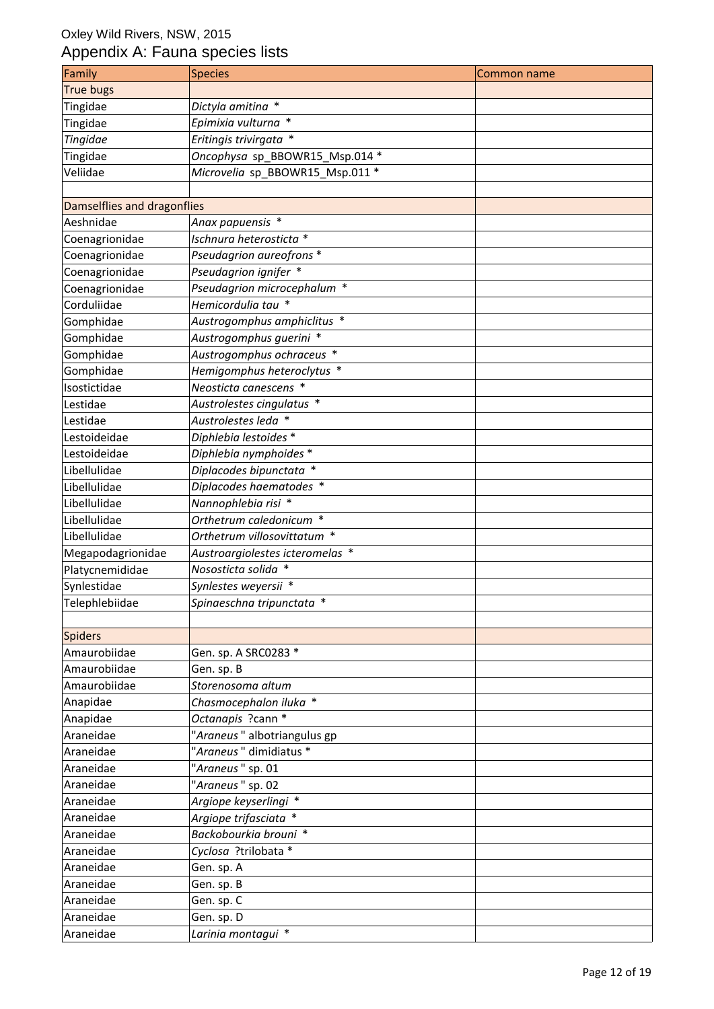| True bugs<br>Tingidae<br>Dictyla amitina *<br>Epimixia vulturna *<br>Tingidae<br>Eritingis trivirgata *<br>Tingidae |
|---------------------------------------------------------------------------------------------------------------------|
|                                                                                                                     |
|                                                                                                                     |
|                                                                                                                     |
|                                                                                                                     |
| Oncophysa sp_BBOWR15_Msp.014 *<br>Tingidae                                                                          |
| Microvelia sp_BBOWR15_Msp.011 *<br>Veliidae                                                                         |
|                                                                                                                     |
| Damselflies and dragonflies                                                                                         |
| Anax papuensis *<br>Aeshnidae                                                                                       |
| Coenagrionidae<br>Ischnura heterosticta *                                                                           |
| Pseudagrion aureofrons *<br>Coenagrionidae                                                                          |
| Pseudagrion ignifer *<br>Coenagrionidae                                                                             |
| Pseudagrion microcephalum *<br>Coenagrionidae                                                                       |
| Corduliidae<br>Hemicordulia tau *                                                                                   |
| Austrogomphus amphiclitus *<br>Gomphidae                                                                            |
| Austrogomphus guerini *<br>Gomphidae                                                                                |
| Gomphidae<br>Austrogomphus ochraceus *                                                                              |
| Gomphidae<br>Hemigomphus heteroclytus *                                                                             |
| Neosticta canescens *<br>Isostictidae                                                                               |
| Austrolestes cingulatus *<br>Lestidae                                                                               |
| Austrolestes leda *<br>Lestidae                                                                                     |
| Diphlebia lestoides *<br>Lestoideidae                                                                               |
| Diphlebia nymphoides *<br>Lestoideidae                                                                              |
| Diplacodes bipunctata *<br>Libellulidae                                                                             |
| Diplacodes haematodes *<br>Libellulidae                                                                             |
| Nannophlebia risi *<br>Libellulidae                                                                                 |
| Libellulidae<br>Orthetrum caledonicum *                                                                             |
| Orthetrum villosovittatum *<br>Libellulidae                                                                         |
| Megapodagrionidae<br>Austroargiolestes icteromelas *                                                                |
| Nososticta solida *<br>Platycnemididae                                                                              |
| Synlestes weyersii *<br>Synlestidae                                                                                 |
| Telephlebiidae<br>Spinaeschna tripunctata *                                                                         |
|                                                                                                                     |
| Spiders                                                                                                             |
| Amaurobiidae<br>Gen. sp. A SRC0283 *                                                                                |
| Amaurobiidae<br>Gen. sp. B                                                                                          |
| Amaurobiidae<br>Storenosoma altum                                                                                   |
| Anapidae<br>Chasmocephalon iluka *                                                                                  |
| Octanapis ?cann *<br>Anapidae                                                                                       |
| "Araneus" albotriangulus gp<br>Araneidae                                                                            |
| "Araneus" dimidiatus *<br>Araneidae                                                                                 |
| "Araneus" sp. 01<br>Araneidae                                                                                       |
| "Araneus" sp. 02<br>Araneidae                                                                                       |
| Argiope keyserlingi *<br>Araneidae                                                                                  |
| Argiope trifasciata *<br>Araneidae                                                                                  |
| Backobourkia brouni *<br>Araneidae                                                                                  |
| Cyclosa ?trilobata *<br>Araneidae                                                                                   |
| Araneidae<br>Gen. sp. A                                                                                             |
| Araneidae<br>Gen. sp. B                                                                                             |
| Araneidae<br>Gen. sp. C                                                                                             |
| Araneidae<br>Gen. sp. D                                                                                             |
| Larinia montagui *<br>Araneidae                                                                                     |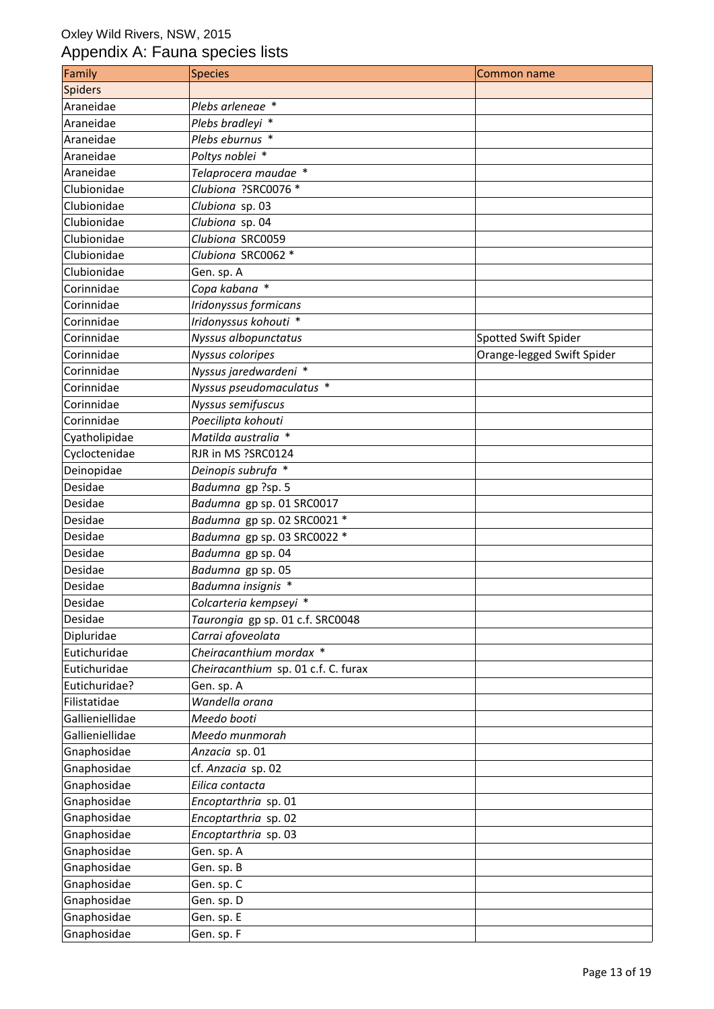| Family          | <b>Species</b>                      | Common name                |
|-----------------|-------------------------------------|----------------------------|
| Spiders         |                                     |                            |
| Araneidae       | Plebs arleneae *                    |                            |
| Araneidae       | Plebs bradleyi *                    |                            |
| Araneidae       | Plebs eburnus *                     |                            |
| Araneidae       | Poltys noblei *                     |                            |
| Araneidae       | Telaprocera maudae *                |                            |
| Clubionidae     | Clubiona ?SRC0076 *                 |                            |
| Clubionidae     | Clubiona sp. 03                     |                            |
| Clubionidae     | Clubiona sp. 04                     |                            |
| Clubionidae     | Clubiona SRC0059                    |                            |
| Clubionidae     | Clubiona SRC0062 *                  |                            |
| Clubionidae     | Gen. sp. A                          |                            |
| Corinnidae      | Copa kabana *                       |                            |
| Corinnidae      | Iridonyssus formicans               |                            |
| Corinnidae      | Iridonyssus kohouti *               |                            |
| Corinnidae      | Nyssus albopunctatus                | Spotted Swift Spider       |
| Corinnidae      | Nyssus coloripes                    | Orange-legged Swift Spider |
| Corinnidae      | Nyssus jaredwardeni *               |                            |
| Corinnidae      | Nyssus pseudomaculatus *            |                            |
| Corinnidae      | Nyssus semifuscus                   |                            |
| Corinnidae      | Poecilipta kohouti                  |                            |
| Cyatholipidae   | Matilda australia *                 |                            |
| Cycloctenidae   | RJR in MS ?SRC0124                  |                            |
| Deinopidae      | Deinopis subrufa *                  |                            |
| Desidae         | Badumna gp ?sp. 5                   |                            |
| Desidae         | Badumna gp sp. 01 SRC0017           |                            |
| Desidae         | Badumna gp sp. 02 SRC0021 *         |                            |
| Desidae         | Badumna gp sp. 03 SRC0022 *         |                            |
| Desidae         | Badumna gp sp. 04                   |                            |
| Desidae         | Badumna gp sp. 05                   |                            |
| Desidae         | Badumna insignis *                  |                            |
| Desidae         | Colcarteria kempseyi *              |                            |
| Desidae         | Taurongia gp sp. 01 c.f. SRC0048    |                            |
| Dipluridae      | Carrai afoveolata                   |                            |
| Eutichuridae    | Cheiracanthium mordax *             |                            |
| Eutichuridae    | Cheiracanthium sp. 01 c.f. C. furax |                            |
| Eutichuridae?   | Gen. sp. A                          |                            |
| Filistatidae    | Wandella orana                      |                            |
| Gallieniellidae | Meedo booti                         |                            |
| Gallieniellidae | Meedo munmorah                      |                            |
| Gnaphosidae     | Anzacia sp. 01                      |                            |
| Gnaphosidae     | cf. Anzacia sp. 02                  |                            |
| Gnaphosidae     | Eilica contacta                     |                            |
| Gnaphosidae     | Encoptarthria sp. 01                |                            |
| Gnaphosidae     | Encoptarthria sp. 02                |                            |
| Gnaphosidae     | Encoptarthria sp. 03                |                            |
| Gnaphosidae     | Gen. sp. A                          |                            |
| Gnaphosidae     | Gen. sp. B                          |                            |
| Gnaphosidae     | Gen. sp. C                          |                            |
| Gnaphosidae     | Gen. sp. D                          |                            |
| Gnaphosidae     | Gen. sp. E                          |                            |
| Gnaphosidae     | Gen. sp. F                          |                            |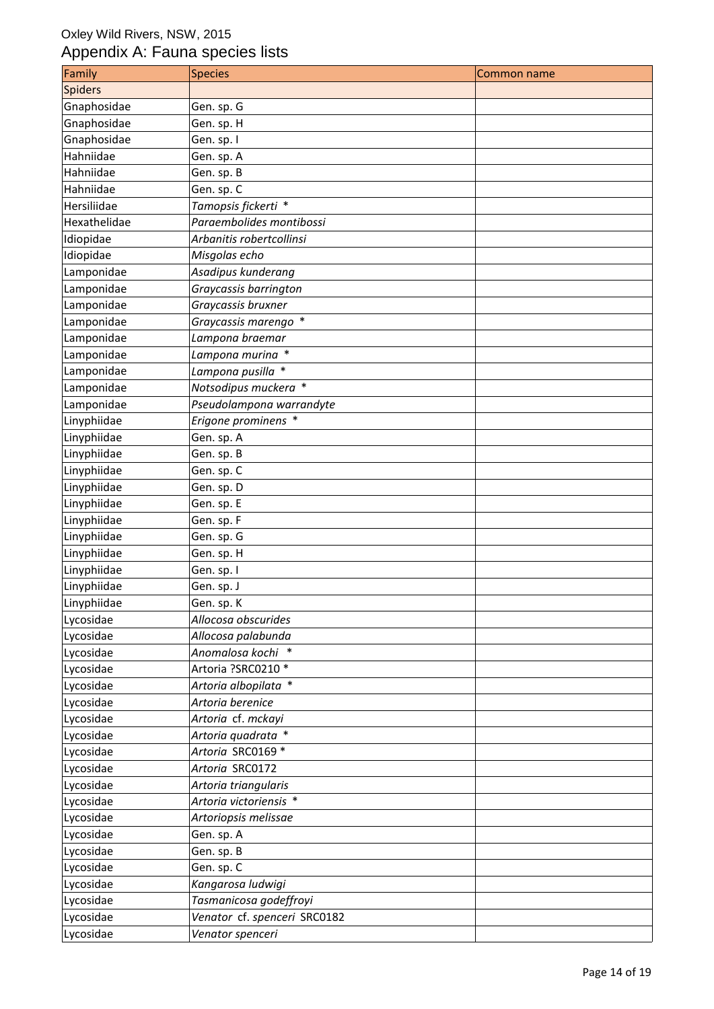| Family         | <b>Species</b>               | Common name |
|----------------|------------------------------|-------------|
| <b>Spiders</b> |                              |             |
| Gnaphosidae    | Gen. sp. G                   |             |
| Gnaphosidae    | Gen. sp. H                   |             |
| Gnaphosidae    | Gen. sp. I                   |             |
| Hahniidae      | Gen. sp. A                   |             |
| Hahniidae      | Gen. sp. B                   |             |
| Hahniidae      | Gen. sp. C                   |             |
| Hersiliidae    | Tamopsis fickerti *          |             |
| Hexathelidae   | Paraembolides montibossi     |             |
| Idiopidae      | Arbanitis robertcollinsi     |             |
| Idiopidae      | Misgolas echo                |             |
| Lamponidae     | Asadipus kunderang           |             |
| Lamponidae     | Graycassis barrington        |             |
| Lamponidae     | Graycassis bruxner           |             |
| Lamponidae     | Graycassis marengo *         |             |
| Lamponidae     | Lampona braemar              |             |
| Lamponidae     | Lampona murina *             |             |
| Lamponidae     | Lampona pusilla *            |             |
| Lamponidae     | Notsodipus muckera *         |             |
| Lamponidae     | Pseudolampona warrandyte     |             |
| Linyphiidae    | Erigone prominens *          |             |
| Linyphiidae    | Gen. sp. A                   |             |
| Linyphiidae    | Gen. sp. B                   |             |
| Linyphiidae    | Gen. sp. C                   |             |
| Linyphiidae    | Gen. sp. D                   |             |
| Linyphiidae    | Gen. sp. E                   |             |
| Linyphiidae    | Gen. sp. F                   |             |
| Linyphiidae    | Gen. sp. G                   |             |
| Linyphiidae    | Gen. sp. H                   |             |
| Linyphiidae    | Gen. sp. I                   |             |
| Linyphiidae    | Gen. sp. J                   |             |
| Linyphiidae    | Gen. sp. K                   |             |
| Lycosidae      | Allocosa obscurides          |             |
| Lycosidae      | Allocosa palabunda           |             |
| Lycosidae      | Anomalosa kochi *            |             |
| Lycosidae      | Artoria ?SRC0210 *           |             |
| Lycosidae      | Artoria albopilata *         |             |
| Lycosidae      | Artoria berenice             |             |
| Lycosidae      | Artoria cf. mckayi           |             |
| Lycosidae      | Artoria quadrata *           |             |
| Lycosidae      | Artoria SRC0169 *            |             |
| Lycosidae      | Artoria SRC0172              |             |
| Lycosidae      | Artoria triangularis         |             |
| Lycosidae      | Artoria victoriensis *       |             |
| Lycosidae      | Artoriopsis melissae         |             |
| Lycosidae      | Gen. sp. A                   |             |
| Lycosidae      | Gen. sp. B                   |             |
| Lycosidae      | Gen. sp. C                   |             |
| Lycosidae      | Kangarosa ludwigi            |             |
| Lycosidae      | Tasmanicosa godeffroyi       |             |
| Lycosidae      | Venator cf. spenceri SRC0182 |             |
| Lycosidae      | Venator spenceri             |             |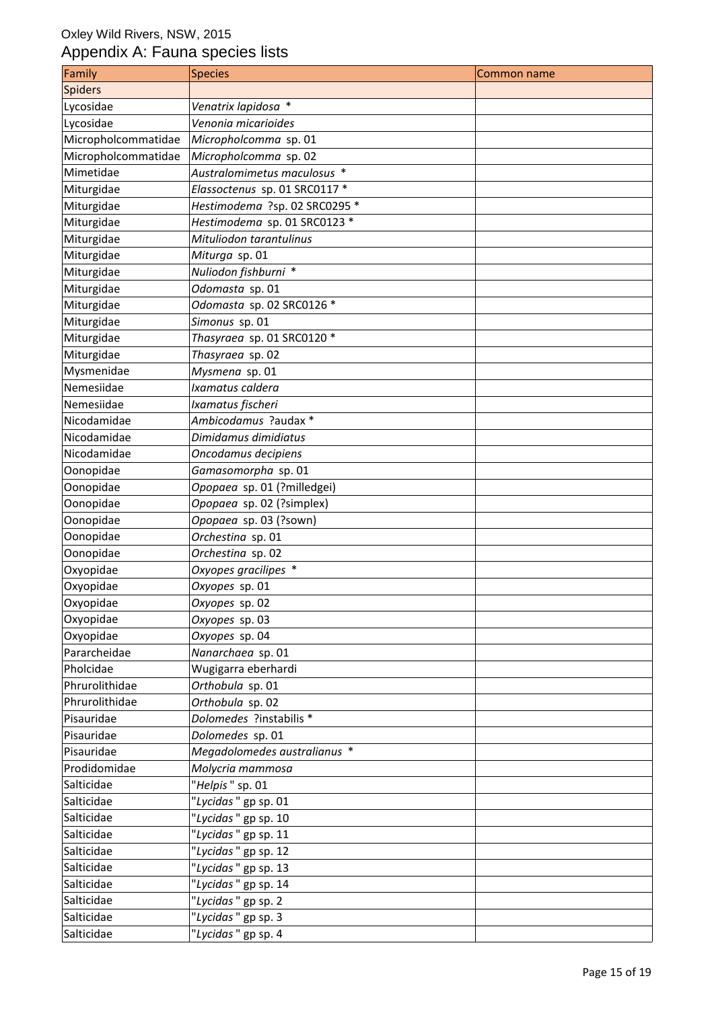| Family              | <b>Species</b>                | Common name |
|---------------------|-------------------------------|-------------|
| <b>Spiders</b>      |                               |             |
| Lycosidae           | Venatrix lapidosa *           |             |
| Lycosidae           | Venonia micarioides           |             |
| Micropholcommatidae | Micropholcomma sp. 01         |             |
| Micropholcommatidae | Micropholcomma sp. 02         |             |
| Mimetidae           | Australomimetus maculosus *   |             |
| Miturgidae          | Elassoctenus sp. 01 SRC0117 * |             |
| Miturgidae          | Hestimodema ?sp. 02 SRC0295 * |             |
| Miturgidae          | Hestimodema sp. 01 SRC0123 *  |             |
| Miturgidae          | Mituliodon tarantulinus       |             |
| Miturgidae          | Miturga sp. 01                |             |
| Miturgidae          | Nuliodon fishburni *          |             |
| Miturgidae          | Odomasta sp. 01               |             |
| Miturgidae          | Odomasta sp. 02 SRC0126 *     |             |
| Miturgidae          | Simonus sp. 01                |             |
| Miturgidae          | Thasyraea sp. 01 SRC0120 *    |             |
| Miturgidae          | Thasyraea sp. 02              |             |
| Mysmenidae          | Mysmena sp. 01                |             |
| Nemesiidae          | Ixamatus caldera              |             |
| Nemesiidae          | Ixamatus fischeri             |             |
| Nicodamidae         | Ambicodamus ?audax *          |             |
| Nicodamidae         | Dimidamus dimidiatus          |             |
| Nicodamidae         | Oncodamus decipiens           |             |
| Oonopidae           | Gamasomorpha sp. 01           |             |
| Oonopidae           | Opopaea sp. 01 (?milledgei)   |             |
| Oonopidae           | Opopaea sp. 02 (?simplex)     |             |
| Oonopidae           | Opopaea sp. 03 (?sown)        |             |
| Oonopidae           | Orchestina sp. 01             |             |
| Oonopidae           | Orchestina sp. 02             |             |
| Oxyopidae           | Oxyopes gracilipes *          |             |
| Oxyopidae           | Oxyopes sp. 01                |             |
| Oxyopidae           | Oxyopes sp. 02                |             |
| Oxyopidae           | Oxyopes sp. 03                |             |
| Oxyopidae           | Oxyopes sp. 04                |             |
| Pararcheidae        | Nanarchaea sp. 01             |             |
| Pholcidae           | Wugigarra eberhardi           |             |
| Phrurolithidae      | Orthobula sp. 01              |             |
| Phrurolithidae      | Orthobula sp. 02              |             |
| Pisauridae          | Dolomedes ?instabilis *       |             |
| Pisauridae          | Dolomedes sp. 01              |             |
| Pisauridae          | Megadolomedes australianus *  |             |
| Prodidomidae        | Molycria mammosa              |             |
| Salticidae          | "Helpis" sp. 01               |             |
| Salticidae          | "Lycidas" gp sp. 01           |             |
| Salticidae          | "Lycidas" gp sp. 10           |             |
| Salticidae          | "Lycidas" gp sp. 11           |             |
| Salticidae          | "Lycidas" gp sp. 12           |             |
| Salticidae          | "Lycidas" gp sp. 13           |             |
| Salticidae          | "Lycidas" gp sp. 14           |             |
| Salticidae          | "Lycidas" gp sp. 2            |             |
| Salticidae          | "Lycidas" gp sp. 3            |             |
| Salticidae          | "Lycidas" gp sp. 4            |             |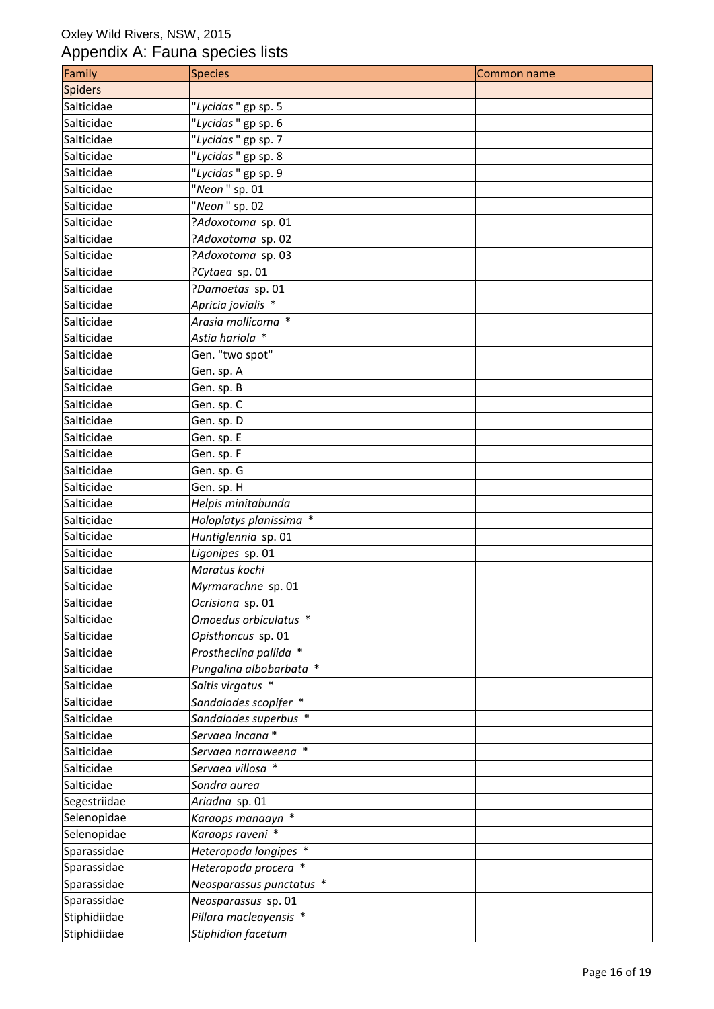| Family       | <b>Species</b>           | Common name |
|--------------|--------------------------|-------------|
| Spiders      |                          |             |
| Salticidae   | "Lycidas" gp sp. 5       |             |
| Salticidae   | "Lycidas" gp sp. 6       |             |
| Salticidae   | "Lycidas" gp sp. 7       |             |
| Salticidae   | "Lycidas" gp sp. 8       |             |
| Salticidae   | "Lycidas" gp sp. 9       |             |
| Salticidae   | "Neon" sp. 01            |             |
| Salticidae   | "Neon " sp. 02           |             |
| Salticidae   | ?Adoxotoma sp. 01        |             |
| Salticidae   | ?Adoxotoma sp. 02        |             |
| Salticidae   | ?Adoxotoma sp. 03        |             |
| Salticidae   | ?Cytaea sp. 01           |             |
| Salticidae   | ?Damoetas sp. 01         |             |
| Salticidae   | Apricia jovialis *       |             |
| Salticidae   | Arasia mollicoma *       |             |
| Salticidae   | Astia hariola *          |             |
| Salticidae   | Gen. "two spot"          |             |
| Salticidae   | Gen. sp. A               |             |
| Salticidae   | Gen. sp. B               |             |
| Salticidae   | Gen. sp. C               |             |
| Salticidae   | Gen. sp. D               |             |
| Salticidae   | Gen. sp. E               |             |
| Salticidae   | Gen. sp. F               |             |
| Salticidae   | Gen. sp. G               |             |
| Salticidae   | Gen. sp. H               |             |
| Salticidae   | Helpis minitabunda       |             |
| Salticidae   | Holoplatys planissima *  |             |
| Salticidae   | Huntiglennia sp. 01      |             |
| Salticidae   | Ligonipes sp. 01         |             |
| Salticidae   | Maratus kochi            |             |
| Salticidae   | Myrmarachne sp. 01       |             |
| Salticidae   | Ocrisiona sp. 01         |             |
| Salticidae   | Omoedus orbiculatus *    |             |
| Salticidae   | Opisthoncus sp. 01       |             |
| Salticidae   | Prostheclina pallida *   |             |
| Salticidae   | Pungalina albobarbata *  |             |
| Salticidae   | Saitis virgatus *        |             |
| Salticidae   | Sandalodes scopifer *    |             |
| Salticidae   | Sandalodes superbus *    |             |
| Salticidae   | Servaea incana*          |             |
| Salticidae   | Servaea narraweena *     |             |
| Salticidae   | Servaea villosa *        |             |
| Salticidae   | Sondra aurea             |             |
| Segestriidae | Ariadna sp. 01           |             |
| Selenopidae  | Karaops manaayn *        |             |
| Selenopidae  | Karaops raveni *         |             |
| Sparassidae  | Heteropoda longipes *    |             |
| Sparassidae  | Heteropoda procera *     |             |
| Sparassidae  | Neosparassus punctatus * |             |
| Sparassidae  | Neosparassus sp. 01      |             |
| Stiphidiidae | Pillara macleayensis *   |             |
| Stiphidiidae | Stiphidion facetum       |             |
|              |                          |             |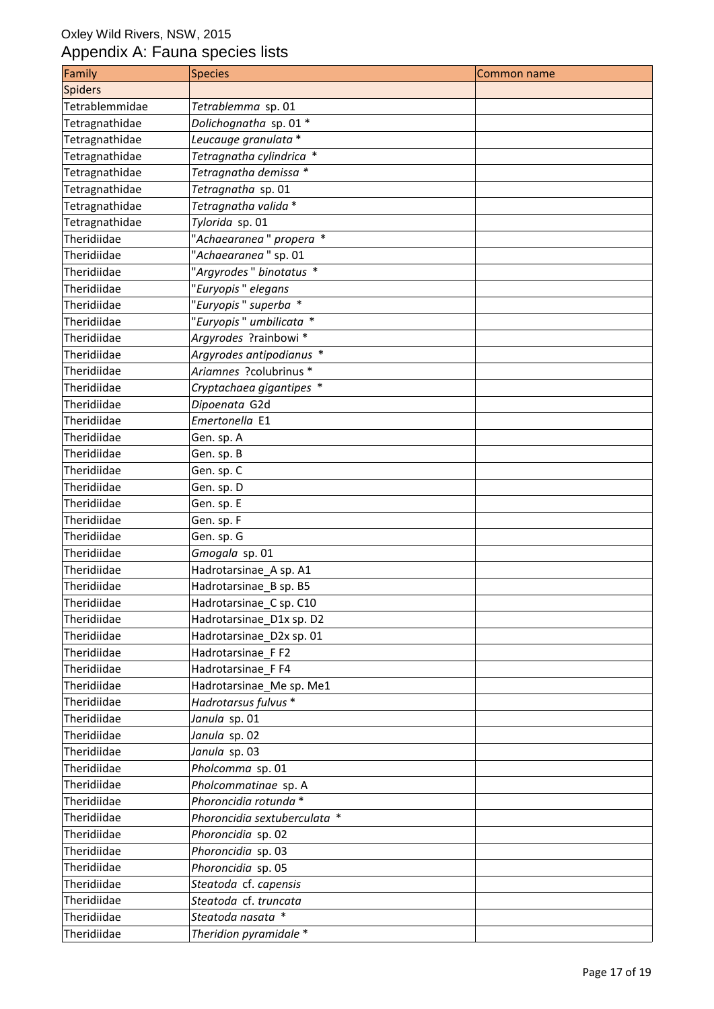| Family         | <b>Species</b>               | Common name |
|----------------|------------------------------|-------------|
| <b>Spiders</b> |                              |             |
| Tetrablemmidae | Tetrablemma sp. 01           |             |
| Tetragnathidae | Dolichognatha sp. 01 *       |             |
| Tetragnathidae | Leucauge granulata *         |             |
| Tetragnathidae | Tetragnatha cylindrica *     |             |
| Tetragnathidae | Tetragnatha demissa *        |             |
| Tetragnathidae | Tetragnatha sp. 01           |             |
| Tetragnathidae | Tetragnatha valida *         |             |
| Tetragnathidae | Tylorida sp. 01              |             |
| Theridiidae    | "Achaearanea" propera *      |             |
| Theridiidae    | "Achaearanea" sp. 01         |             |
| Theridiidae    | "Argyrodes" binotatus *      |             |
| Theridiidae    | "Euryopis" elegans           |             |
| Theridiidae    | "Euryopis" superba *         |             |
| Theridiidae    | "Euryopis" umbilicata *      |             |
| Theridiidae    | Argyrodes ?rainbowi *        |             |
| Theridiidae    | Argyrodes antipodianus *     |             |
| Theridiidae    | Ariamnes ?colubrinus *       |             |
| Theridiidae    | Cryptachaea gigantipes *     |             |
| Theridiidae    | Dipoenata G2d                |             |
| Theridiidae    | Emertonella E1               |             |
| Theridiidae    | Gen. sp. A                   |             |
| Theridiidae    | Gen. sp. B                   |             |
| Theridiidae    | Gen. sp. C                   |             |
| Theridiidae    | Gen. sp. D                   |             |
| Theridiidae    | Gen. sp. E                   |             |
| Theridiidae    | Gen. sp. F                   |             |
| Theridiidae    | Gen. sp. G                   |             |
| Theridiidae    | Gmogala sp. 01               |             |
| Theridiidae    | Hadrotarsinae_A sp. A1       |             |
| Theridiidae    | Hadrotarsinae_B sp. B5       |             |
| Theridiidae    | Hadrotarsinae_C sp. C10      |             |
| Theridiidae    | Hadrotarsinae_D1x sp. D2     |             |
| Theridiidae    | Hadrotarsinae_D2x sp. 01     |             |
| Theridiidae    | Hadrotarsinae_FF2            |             |
| Theridiidae    | Hadrotarsinae FF4            |             |
| Theridiidae    | Hadrotarsinae_Me sp. Me1     |             |
| Theridiidae    | Hadrotarsus fulvus *         |             |
| Theridiidae    | Janula sp. 01                |             |
| Theridiidae    | Janula sp. 02                |             |
| Theridiidae    | Janula sp. 03                |             |
| Theridiidae    | Pholcomma sp. 01             |             |
| Theridiidae    | Pholcommatinae sp. A         |             |
| Theridiidae    | Phoroncidia rotunda *        |             |
| Theridiidae    | Phoroncidia sextuberculata * |             |
| Theridiidae    | Phoroncidia sp. 02           |             |
| Theridiidae    | Phoroncidia sp. 03           |             |
| Theridiidae    | Phoroncidia sp. 05           |             |
| Theridiidae    | Steatoda cf. capensis        |             |
| Theridiidae    | Steatoda cf. truncata        |             |
| Theridiidae    | Steatoda nasata *            |             |
| Theridiidae    | Theridion pyramidale *       |             |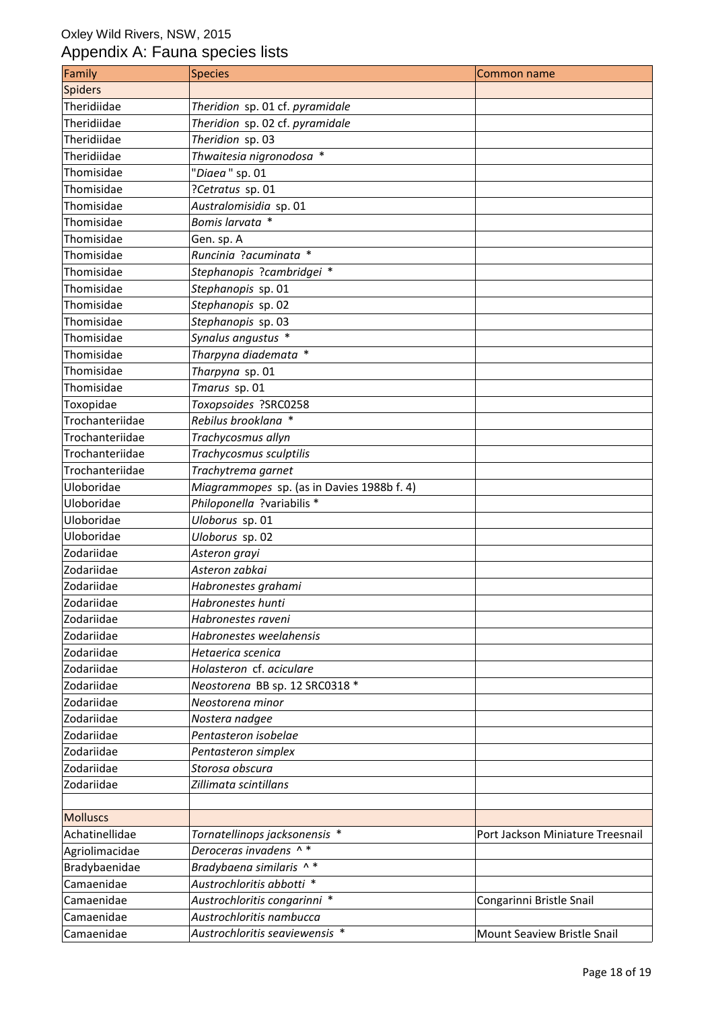| Family          | <b>Species</b>                             | Common name                      |
|-----------------|--------------------------------------------|----------------------------------|
| <b>Spiders</b>  |                                            |                                  |
| Theridiidae     | Theridion sp. 01 cf. pyramidale            |                                  |
| Theridiidae     | Theridion sp. 02 cf. pyramidale            |                                  |
| Theridiidae     | Theridion sp. 03                           |                                  |
| Theridiidae     | Thwaitesia nigronodosa *                   |                                  |
| Thomisidae      | "Diaea" sp. 01                             |                                  |
| Thomisidae      | ?Cetratus sp. 01                           |                                  |
| Thomisidae      | Australomisidia sp. 01                     |                                  |
| Thomisidae      | Bomis larvata *                            |                                  |
| Thomisidae      | Gen. sp. A                                 |                                  |
| Thomisidae      | Runcinia ?acuminata *                      |                                  |
| Thomisidae      | Stephanopis ?cambridgei *                  |                                  |
| Thomisidae      | Stephanopis sp. 01                         |                                  |
| Thomisidae      | Stephanopis sp. 02                         |                                  |
| Thomisidae      | Stephanopis sp. 03                         |                                  |
| Thomisidae      | Synalus angustus *                         |                                  |
| Thomisidae      | Tharpyna diademata *                       |                                  |
| Thomisidae      | Tharpyna sp. 01                            |                                  |
| Thomisidae      | Tmarus sp. 01                              |                                  |
| Toxopidae       | Toxopsoides ?SRC0258                       |                                  |
| Trochanteriidae | Rebilus brooklana *                        |                                  |
| Trochanteriidae | Trachycosmus allyn                         |                                  |
| Trochanteriidae | Trachycosmus sculptilis                    |                                  |
| Trochanteriidae | Trachytrema garnet                         |                                  |
| Uloboridae      | Miagrammopes sp. (as in Davies 1988b f. 4) |                                  |
| Uloboridae      | Philoponella ?variabilis *                 |                                  |
| Uloboridae      | Uloborus sp. 01                            |                                  |
| Uloboridae      | Uloborus sp. 02                            |                                  |
| Zodariidae      | Asteron grayi                              |                                  |
| Zodariidae      | Asteron zabkai                             |                                  |
| Zodariidae      | Habronestes grahami                        |                                  |
| Zodariidae      | Habronestes hunti                          |                                  |
| Zodariidae      | Habronestes raveni                         |                                  |
| Zodariidae      | Habronestes weelahensis                    |                                  |
| Zodariidae      | Hetaerica scenica                          |                                  |
| Zodariidae      | Holasteron cf. aciculare                   |                                  |
| Zodariidae      | Neostorena BB sp. 12 SRC0318 *             |                                  |
| Zodariidae      | Neostorena minor                           |                                  |
| Zodariidae      | Nostera nadgee                             |                                  |
| Zodariidae      | Pentasteron isobelae                       |                                  |
| Zodariidae      | Pentasteron simplex                        |                                  |
| Zodariidae      | Storosa obscura                            |                                  |
| Zodariidae      | Zillimata scintillans                      |                                  |
|                 |                                            |                                  |
| <b>Molluscs</b> |                                            |                                  |
| Achatinellidae  | Tornatellinops jacksonensis *              | Port Jackson Miniature Treesnail |
| Agriolimacidae  | Deroceras invadens ^*                      |                                  |
| Bradybaenidae   | Bradybaena similaris ^*                    |                                  |
| Camaenidae      | Austrochloritis abbotti *                  |                                  |
| Camaenidae      | Austrochloritis congarinni *               | Congarinni Bristle Snail         |
| Camaenidae      | Austrochloritis nambucca                   |                                  |
| Camaenidae      | Austrochloritis seaviewensis *             | Mount Seaview Bristle Snail      |